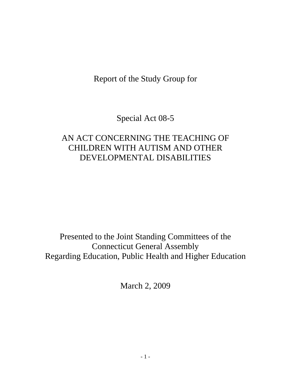Report of the Study Group for

Special Act 08-5

# AN ACT CONCERNING THE TEACHING OF CHILDREN WITH AUTISM AND OTHER DEVELOPMENTAL DISABILITIES

Presented to the Joint Standing Committees of the Connecticut General Assembly Regarding Education, Public Health and Higher Education

March 2, 2009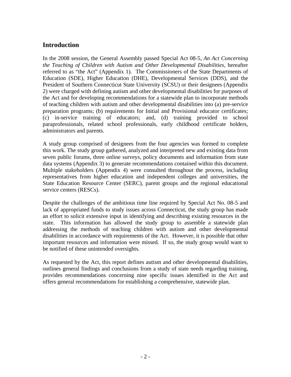# **Introduction**

In the 2008 session, the General Assembly passed Special Act 08-5, *An Act Concerning the Teaching of Children with Autism and Other Developmental Disabilities*, hereafter referred to as "the Act" (Appendix 1). The Commissioners of the State Departments of Education (SDE), Higher Education (DHE), Developmental Services (DDS), and the President of Southern Connecticut State University (SCSU) or their designees (Appendix 2) were charged with defining autism and other developmental disabilities for purposes of the Act and for developing recommendations for a statewide plan to incorporate methods of teaching children with autism and other developmental disabilities into (a) pre-service preparation programs; (b) requirements for Initial and Provisional educator certificates; (c) in-service training of educators; and, (d) training provided to school paraprofessionals, related school professionals, early childhood certificate holders, administrators and parents.

A study group comprised of designees from the four agencies was formed to complete this work. The study group gathered, analyzed and interpreted new and existing data from seven public forums, three online surveys, policy documents and information from state data systems (Appendix 3) to generate recommendations contained within this document. Multiple stakeholders (Appendix 4) were consulted throughout the process, including representatives from higher education and independent colleges and universities, the State Education Resource Center (SERC), parent groups and the regional educational service centers (RESCs).

Despite the challenges of the ambitious time line required by Special Act No. 08-5 and lack of appropriated funds to study issues across Connecticut, the study group has made an effort to solicit extensive input in identifying and describing existing resources in the state. This information has allowed the study group to assemble a statewide plan addressing the methods of teaching children with autism and other developmental disabilities in accordance with requirements of the Act. However, it is possible that other important resources and information were missed. If so, the study group would want to be notified of these unintended oversights.

As requested by the Act, this report defines autism and other developmental disabilities, outlines general findings and conclusions from a study of state needs regarding training, provides recommendations concerning nine specific issues identified in the Act and offers general recommendations for establishing a comprehensive, statewide plan.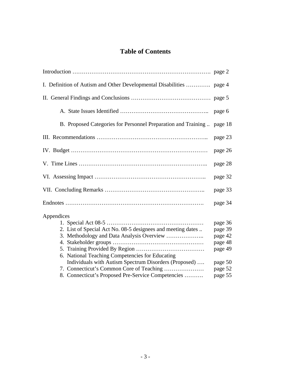# **Table of Contents**

| B. Proposed Categories for Personnel Preparation and Training  page 18 |         |  |  |  |
|------------------------------------------------------------------------|---------|--|--|--|
|                                                                        | page 23 |  |  |  |
|                                                                        | page 26 |  |  |  |
|                                                                        | page 28 |  |  |  |
| page 32                                                                |         |  |  |  |
|                                                                        | page 33 |  |  |  |
|                                                                        | page 34 |  |  |  |
| Appendices                                                             | page 36 |  |  |  |
| 2. List of Special Act No. 08-5 designees and meeting dates            | page 39 |  |  |  |
|                                                                        | page 42 |  |  |  |
|                                                                        | page 48 |  |  |  |
|                                                                        | page 49 |  |  |  |
| 6. National Teaching Competencies for Educating                        |         |  |  |  |
| Individuals with Autism Spectrum Disorders (Proposed)                  | page 50 |  |  |  |
|                                                                        | page 52 |  |  |  |
| 8. Connecticut's Proposed Pre-Service Competencies                     | page 55 |  |  |  |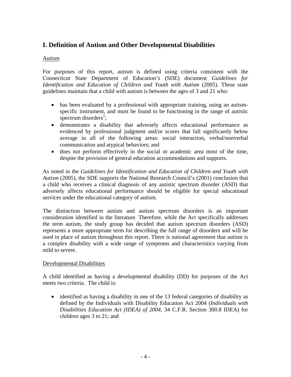# **I. Definition of Autism and Other Developmental Disabilities**

### Autism

For purposes of this report, autism is defined using criteria consistent with the Connecticut State Department of Education's (SDE) document *Guidelines for Identification and Education of Children and Youth with Autism* (2005). These state guidelines maintain that a child with autism is between the ages of 3 and 21 who:

- has been evaluated by a professional with appropriate training, using an autismspecific instrument, and must be found to be functioning in the range of autistic spectrum disorders<sup>1</sup>;
- demonstrates a disability that adversely affects educational performance as evidenced by professional judgment and/or scores that fall significantly below average in all of the following areas: social interaction, verbal/nonverbal communication and atypical behaviors; and
- does not perform effectively in the social or academic area most of the time, despite the provision of general education accommodations and supports.

As noted in the *Guidelines for Identification and Education of Children and Youth with Autism* (2005), the SDE supports the National Research Council's (2001) conclusion that a child who receives a clinical diagnosis of any autistic spectrum disorder (ASD) that adversely affects educational performance should be eligible for special educational services under the educational category of autism.

The distinction between autism and autism spectrum disorders is an important consideration identified in the literature. Therefore, while the Act specifically addresses the term autism, the study group has decided that autism spectrum disorders (ASD) represents a more appropriate term for describing the full range of disorders and will be used in place of autism throughout this report. There is national agreement that autism is a complex disability with a wide range of symptoms and characteristics varying from mild to severe.

#### Developmental Disabilities

A child identified as having a developmental disability (DD) for purposes of the Act meets two criteria. The child is:

• identified as having a disability in one of the 13 federal categories of disability as defined by the Individuals with Disability Education Act 2004 (*Individuals with Disabilities Education Act (IDEA) of 2004*, 34 C.F.R. Section 300.8 IDEA) for children ages 3 to 21; and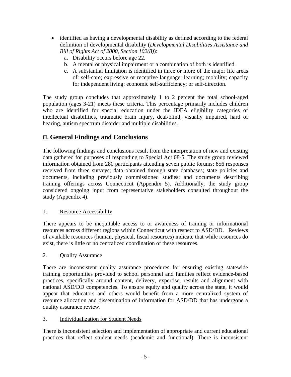- identified as having a developmental disability as defined according to the federal definition of developmental disability (*Developmental Disabilities Assistance and Bill of Rights Act of 2000, Section 102(8)*):
	- a. Disability occurs before age 22.
	- b. A mental or physical impairment or a combination of both is identified.
	- c. A substantial limitation is identified in three or more of the major life areas of: self-care; expressive or receptive language; learning; mobility; capacity for independent living; economic self-sufficiency; or self-direction.

The study group concludes that approximately 1 to 2 percent the total school-aged population (ages 3-21) meets these criteria. This percentage primarily includes children who are identified for special education under the IDEA eligibility categories of intellectual disabilities, traumatic brain injury, deaf/blind, visually impaired, hard of hearing, autism spectrum disorder and multiple disabilities.

# **II. General Findings and Conclusions**

The following findings and conclusions result from the interpretation of new and existing data gathered for purposes of responding to Special Act 08-5. The study group reviewed information obtained from 280 participants attending seven public forums; 856 responses received from three surveys; data obtained through state databases; state policies and documents, including previously commissioned studies; and documents describing training offerings across Connecticut (Appendix 5). Additionally, the study group considered ongoing input from representative stakeholders consulted throughout the study (Appendix 4).

## 1. Resource Accessibility

There appears to be inequitable access to or awareness of training or informational resources across different regions within Connecticut with respect to ASD/DD. Reviews of available resources (human, physical, fiscal resources) indicate that while resources do exist, there is little or no centralized coordination of these resources.

#### 2. Quality Assurance

There are inconsistent quality assurance procedures for ensuring existing statewide training opportunities provided to school personnel and families reflect evidence-based practices, specifically around content, delivery, expertise, results and alignment with national ASD/DD competencies. To ensure equity and quality across the state, it would appear that educators and others would benefit from a more centralized system of resource allocation and dissemination of information for ASD/DD that has undergone a quality assurance review.

## 3. Individualization for Student Needs

There is inconsistent selection and implementation of appropriate and current educational practices that reflect student needs (academic and functional). There is inconsistent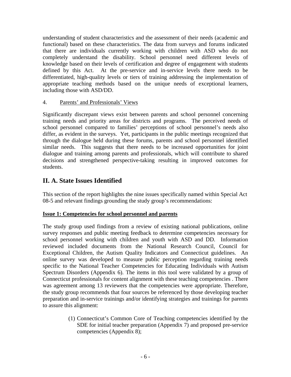understanding of student characteristics and the assessment of their needs (academic and functional) based on these characteristics. The data from surveys and forums indicated that there are individuals currently working with children with ASD who do not completely understand the disability. School personnel need different levels of knowledge based on their levels of certification and degree of engagement with students defined by this Act. At the pre-service and in-service levels there needs to be differentiated, high-quality levels or tiers of training addressing the implementation of appropriate teaching methods based on the unique needs of exceptional learners, including those with ASD/DD.

#### 4. Parents' and Professionals' Views

Significantly discrepant views exist between parents and school personnel concerning training needs and priority areas for districts and programs. The perceived needs of school personnel compared to families' perceptions of school personnel's needs also differ, as evident in the surveys. Yet, participants in the public meetings recognized that through the dialogue held during these forums, parents and school personnel identified similar needs. This suggests that there needs to be increased opportunities for joint dialogue and training among parents and professionals, which will contribute to shared decisions and strengthened perspective-taking resulting in improved outcomes for students.

## **II. A. State Issues Identified**

This section of the report highlights the nine issues specifically named within Special Act 08-5 and relevant findings grounding the study group's recommendations:

#### **Issue 1: Competencies for school personnel and parents**

The study group used findings from a review of existing national publications, online survey responses and public meeting feedback to determine competencies necessary for school personnel working with children and youth with ASD and DD. Information reviewed included documents from the National Research Council, Council for Exceptional Children, the Autism Quality Indicators and Connecticut guidelines. An online survey was developed to measure public perception regarding training needs specific to the National Teacher Competencies for Educating Individuals with Autism Spectrum Disorders (Appendix 6). The items in this tool were validated by a group of Connecticut professionals for content alignment with these teaching competencies . There was agreement among 13 reviewers that the competencies were appropriate. Therefore, the study group recommends that four sources be referenced by those developing teacher preparation and in-service trainings and/or identifying strategies and trainings for parents to assure this alignment:

> (1) Connecticut's Common Core of Teaching competencies identified by the SDE for initial teacher preparation (Appendix 7) and proposed pre-service competencies (Appendix 8);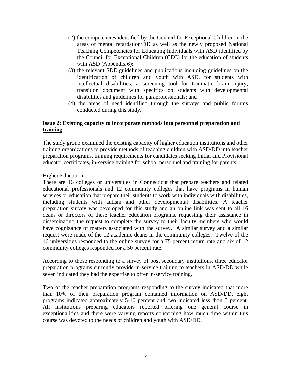- (2) the competencies identified by the Council for Exceptional Children in the areas of mental retardation/DD as well as the newly proposed National Teaching Competencies for Educating Individuals with ASD identified by the Council for Exceptional Children (CEC) for the education of students with ASD (Appendix 6);
- (3) the relevant SDE guidelines and publications including guidelines on the identification of children and youth with ASD, for students with intellectual disabilities, a screening tool for traumatic brain injury, transition document with specifics on students with developmental disabilities and guidelines for paraprofessionals; and
- (4) the areas of need identified through the surveys and public forums conducted during this study.

#### **Issue 2: Existing capacity to incorporate methods into personnel preparation and training**

The study group examined the existing capacity of higher education institutions and other training organizations to provide methods of teaching children with ASD/DD into teacher preparation programs, training requirements for candidates seeking Initial and Provisional educator certificates, in-service training for school personnel and training for parents.

#### Higher Education

There are 16 colleges or universities in Connecticut that prepare teachers and related educational professionals and 12 community colleges that have programs in human services or education that prepare their students to work with individuals with disabilities, including students with autism and other developmental disabilities. A teacher preparation survey was developed for this study and an online link was sent to all 16 deans or directors of these teacher education programs, requesting their assistance in disseminating the request to complete the survey to their faculty members who would have cognizance of matters associated with the survey. A similar survey and a similar request were made of the 12 academic deans in the community colleges. Twelve of the 16 universities responded to the online survey for a 75 percent return rate and six of 12 community colleges responded for a 50 percent rate.

According to those responding to a survey of post secondary institutions, three educator preparation programs currently provide in-service training to teachers in ASD/DD while seven indicated they had the expertise to offer in-service training.

Two of the teacher preparation programs responding to the survey indicated that more than 10% of their preparation program contained information on ASD/DD, eight programs indicated approximately 5-10 percent and two indicated less than 5 percent. All institutions preparing educators reported offering one general course in exceptionalities and there were varying reports concerning how much time within this course was devoted to the needs of children and youth with ASD/DD.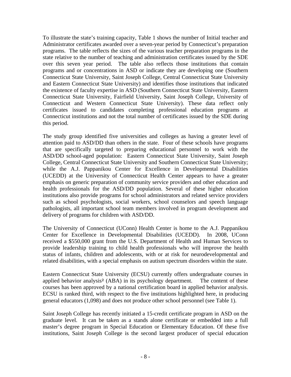To illustrate the state's training capacity, Table 1 shows the number of Initial teacher and Administrator certificates awarded over a seven-year period by Connecticut's preparation programs. The table reflects the sizes of the various teacher preparation programs in the state relative to the number of teaching and administration certificates issued by the SDE over this seven year period. The table also reflects those institutions that contain programs and or concentrations in ASD or indicate they are developing one (Southern Connecticut State University, Saint Joseph College, Central Connecticut State University and Eastern Connecticut State University) and identifies those institutions that indicated the existence of faculty expertise in ASD (Southern Connecticut State University, Eastern Connecticut State University, Fairfield University, Saint Joseph College, University of Connecticut and Western Connecticut State University). These data reflect only certificates issued to candidates completing professional education programs at Connecticut institutions and not the total number of certificates issued by the SDE during this period.

The study group identified five universities and colleges as having a greater level of attention paid to ASD/DD than others in the state. Four of these schools have programs that are specifically targeted to preparing educational personnel to work with the ASD/DD school-aged population: Eastern Connecticut State University, Saint Joseph College, Central Connecticut State University and Southern Connecticut State University; while the A.J. Pappanikou Center for Excellence in Developmental Disabilities (UCEDD) at the University of Connecticut Health Center appears to have a greater emphasis on generic preparation of community service providers and other education and health professionals for the ASD/DD population. Several of these higher education institutions also provide programs for school administrators and related service providers such as school psychologists, social workers, school counselors and speech language pathologists, all important school team members involved in program development and delivery of programs for children with ASD/DD.

The University of Connecticut (UConn) Health Center is home to the A.J. Pappanikou Center for Excellence in Developmental Disabilities (UCEDD). In 2008, UConn received a \$550,000 grant from the U.S. Department of Health and Human Services to provide leadership training to child health professionals who will improve the health status of infants, children and adolescents, with or at risk for neurodevelopmental and related disabilities, with a special emphasis on autism spectrum disorders within the state.

Eastern Connecticut State University (ECSU) currently offers undergraduate courses in applied behavior analysis² (ABA) in its psychology department. The content of these courses has been approved by a national certification board in applied behavior analysis. ECSU is ranked third, with respect to the five institutions highlighted here, in producing general educators (1,098) and does not produce other school personnel (see Table 1).

Saint Joseph College has recently initiated a 15-credit certificate program in ASD on the graduate level. It can be taken as a stands alone certificate or embedded into a full master's degree program in Special Education or Elementary Education. Of these five institutions, Saint Joseph College is the second largest producer of special education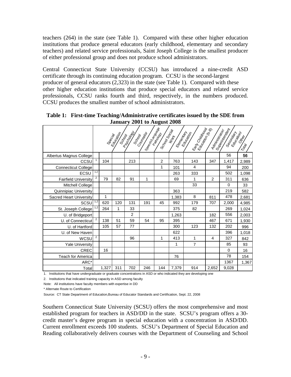teachers (264) in the state (see Table 1). Compared with these other higher education institutions that produce general educators (early childhood, elementary and secondary teachers) and related service professionals, Saint Joseph College is the smallest producer of either professional group and does not produce school administrators.

Central Connecticut State University (CCSU) has introduced a nine-credit ASD certificate through its continuing education program. CCSU is the second-largest producer of general educators (2,323) in the state (see Table 1). Compared with these other higher education institutions that produce special educators and related service professionals, CCSU ranks fourth and third, respectively, in the numbers produced. CCSU produces the smallest number of school administrators.

|                                |                |       | Secial del<br>Scrool | <b>Parchago</b><br>Scribor | I <sup>Speco</sup> r/Zangee I<br>Counsel | Scriptor Social<br>Pathodop | Elementem<br><b>Mont</b> | Earl Childhood<br>Eatlantian | Administrator  | Suberintendent<br>Secondary | Ortown<br>TOW |
|--------------------------------|----------------|-------|----------------------|----------------------------|------------------------------------------|-----------------------------|--------------------------|------------------------------|----------------|-----------------------------|---------------|
| Albertus Magnus College        |                |       |                      |                            |                                          |                             |                          |                              |                | 56                          | 56            |
| CCSU                           |                | 104   |                      | 213                        |                                          | $\overline{2}$              | 763                      | 143                          | 347            | 1,417                       | 2,989         |
| <b>Connecticut College</b>     |                |       |                      |                            |                                          | 1                           | 101                      | $\overline{4}$               |                | 94                          | 200           |
| ECSU                           | 1,2            |       |                      |                            |                                          |                             | 263                      | 333                          |                | 502                         | 1,098         |
| <b>Fairfield University</b>    | 2              | 79    | 82                   | 91                         | 1                                        |                             | 69                       | 1                            | $\overline{2}$ | 311                         | 636           |
| Mitchell College               |                |       |                      |                            |                                          |                             |                          | 33                           |                | $\Omega$                    | 33            |
| Quinnipiac University          |                |       |                      |                            |                                          |                             | 363                      |                              |                | 219                         | 582           |
| <b>Sacred Heart University</b> |                | 1     |                      |                            |                                          |                             | 1,383                    | 8                            | 811            | 478                         | 2,681         |
| SCSU                           | 1,2            | 620   | 120                  | 131                        | 191                                      | 45                          | 992                      | 179                          | 707            | 2,000                       | 4,985         |
| St. Joseph College             | 1,2            | 264   | 1                    | 33                         |                                          |                             | 375                      | 82                           |                | 269                         | 1,024         |
| U. of Bridgeport               |                |       |                      | $\overline{2}$             |                                          |                             | 1,263                    |                              | 182            | 556                         | 2,003         |
| U. of Connecticut              | $\overline{2}$ | 138   | 51                   | 59                         | 54                                       | 95                          | 395                      |                              | 467            | 671                         | 1,930         |
| U. of Hartford                 |                | 105   | 57                   | 77                         |                                          |                             | 300                      | 123                          | 132            | 202                         | 996           |
| U. of New Haven                |                |       |                      |                            |                                          |                             | 622                      |                              |                | 396                         | 1,018         |
| WCSU                           | $\overline{2}$ |       |                      | 96                         |                                          | 1                           | 413                      | 1                            | 4              | 327                         | 842           |
| <b>Yale University</b>         |                |       |                      |                            |                                          |                             | 1                        | $\overline{7}$               |                | 85                          | 93            |
| <b>CREC</b>                    |                | 16    |                      |                            |                                          |                             |                          |                              |                | $\Omega$                    | 16            |
| <b>Teach for America</b>       |                |       |                      |                            |                                          |                             | 76                       |                              |                | 78                          | 154           |
| ARC*                           |                |       |                      |                            |                                          |                             |                          |                              |                | 1367                        | 1,367         |
| Total                          |                | 1,327 | 311                  | 702                        | 246                                      | 144                         | 7,379                    | 914                          | 2,652          | 9,028                       |               |

**Table 1: First-time Teaching/Administrative certificates issued by the SDE from January 2001 to August 2008** 

1. Institutions that have undergraduate or graduate concentrations in ASD or who indicated they are developing one

2. Institutions that indicated training capacity in ASD among faculty

Note: All institutions have faculty members with expertise in DD

\* Alternate Route to Certification

Source: CT State Department of Education,Bureau of Educator Standards and Certification, Sept. 22, 2008

Southern Connecticut State University (SCSU) offers the most comprehensive and most established program for teachers in ASD/DD in the state. SCSU's program offers a 30 credit master's degree program in special education with a concentration in ASD/DD. Current enrollment exceeds 100 students. SCSU's Department of Special Education and Reading collaboratively delivers courses with the Department of Counseling and School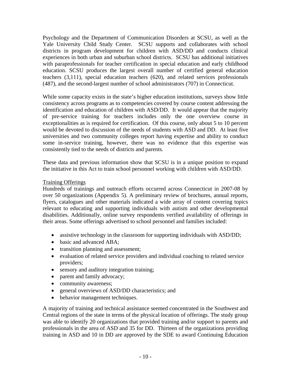Psychology and the Department of Communication Disorders at SCSU, as well as the Yale University Child Study Center. SCSU supports and collaborates with school districts in program development for children with ASD/DD and conducts clinical experiences in both urban and suburban school districts. SCSU has additional initiatives with paraprofessionals for teacher certification in special education and early childhood education. SCSU produces the largest overall number of certified general education teachers (3,111), special education teachers (620), and related services professionals (487), and the second-largest number of school administrators (707) in Connecticut.

While some capacity exists in the state's higher education institutions, surveys show little consistency across programs as to competencies covered by course content addressing the identification and education of children with ASD/DD. It would appear that the majority of pre-service training for teachers includes only the one overview course in exceptionalities as is required for certification. Of this course, only about 5 to 10 percent would be devoted to discussion of the needs of students with ASD and DD. At least five universities and two community colleges report having expertise and ability to conduct some in-service training, however, there was no evidence that this expertise was consistently tied to the needs of districts and parents.

These data and previous information show that SCSU is in a unique position to expand the initiative in this Act to train school personnel working with children with ASD/DD.

## Training Offerings

Hundreds of trainings and outreach efforts occurred across Connecticut in 2007-08 by over 50 organizations (Appendix 5). A preliminary review of brochures, annual reports, flyers, catalogues and other materials indicated a wide array of content covering topics relevant to educating and supporting individuals with autism and other developmental disabilities. Additionally, online survey respondents verified availability of offerings in their areas. Some offerings advertised to school personnel and families included:

- assistive technology in the classroom for supporting individuals with ASD/DD;
- basic and advanced ABA:
- transition planning and assessment;
- evaluation of related service providers and individual coaching to related service providers;
- sensory and auditory integration training;
- parent and family advocacy;
- community awareness;
- general overviews of ASD/DD characteristics; and
- behavior management techniques.

A majority of training and technical assistance seemed concentrated in the Southwest and Central regions of the state in terms of the physical location of offerings. The study group was able to identify 20 organizations that provided training and/or support to parents and professionals in the area of ASD and 35 for DD. Thirteen of the organizations providing training in ASD and 10 in DD are approved by the SDE to award Continuing Education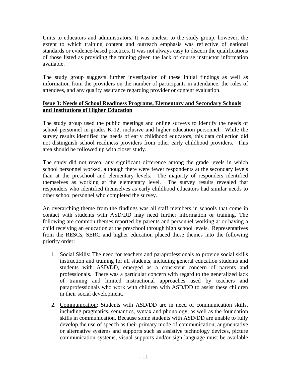Units to educators and administrators. It was unclear to the study group, however, the extent to which training content and outreach emphasis was reflective of national standards or evidence-based practices. It was not always easy to discern the qualifications of those listed as providing the training given the lack of course instructor information available.

The study group suggests further investigation of these initial findings as well as information from the providers on the number of participants in attendance, the roles of attendees, and any quality assurance regarding provider or content evaluation.

### **Issue 3: Needs of School Readiness Programs, Elementary and Secondary Schools and Institutions of Higher Education**

The study group used the public meetings and online surveys to identify the needs of school personnel in grades K-12, inclusive and higher education personnel. While the survey results identified the needs of early childhood educators, this data collection did not distinguish school readiness providers from other early childhood providers. This area should be followed up with closer study.

The study did not reveal any significant difference among the grade levels in which school personnel worked, although there were fewer respondents at the secondary levels than at the preschool and elementary levels. The majority of responders identified themselves as working at the elementary level. The survey results revealed that responders who identified themselves as early childhood educators had similar needs to other school personnel who completed the survey.

An overarching theme from the findings was all staff members in schools that come in contact with students with ASD/DD may need further information or training. The following are common themes reported by parents and personnel working at or having a child receiving an education at the preschool through high school levels. Representatives from the RESCs, SERC and higher education placed these themes into the following priority order:

- 1. Social Skills: The need for teachers and paraprofessionals to provide social skills instruction and training for all students, including general education students and students with ASD/DD, emerged as a consistent concern of parents and professionals. There was a particular concern with regard to the generalized lack of training and limited instructional approaches used by teachers and paraprofessionals who work with children with ASD/DD to assist these children in their social development.
- 2. Communication: Students with ASD/DD are in need of communication skills, including pragmatics, semantics, syntax and phonology, as well as the foundation skills in communication. Because some students with ASD/DD are unable to fully develop the use of speech as their primary mode of communication, augmentative or alternative systems and supports such as assistive technology devices, picture communication systems, visual supports and/or sign language must be available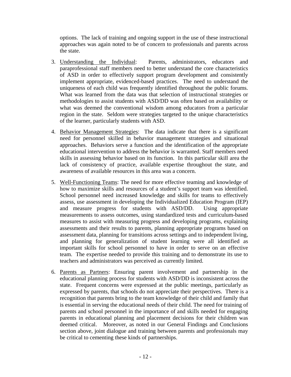options. The lack of training and ongoing support in the use of these instructional approaches was again noted to be of concern to professionals and parents across the state.

- 3. Understanding the Individual: Parents, administrators, educators and paraprofessional staff members need to better understand the core characteristics of ASD in order to effectively support program development and consistently implement appropriate, evidenced-based practices. The need to understand the uniqueness of each child was frequently identified throughout the public forums. What was learned from the data was that selection of instructional strategies or methodologies to assist students with ASD/DD was often based on availability or what was deemed the conventional wisdom among educators from a particular region in the state. Seldom were strategies targeted to the unique characteristics of the learner, particularly students with ASD.
- 4. Behavior Management Strategies: The data indicate that there is a significant need for personnel skilled in behavior management strategies and situational approaches. Behaviors serve a function and the identification of the appropriate educational intervention to address the behavior is warranted. Staff members need skills in assessing behavior based on its function. In this particular skill area the lack of consistency of practice, available expertise throughout the state, and awareness of available resources in this area was a concern.
- 5. Well-Functioning Teams: The need for more effective teaming and knowledge of how to maximize skills and resources of a student's support team was identified. School personnel need increased knowledge and skills for teams to effectively assess, use assessment in developing the Individualized Education Program (IEP) and measure progress for students with ASD/DD. Using appropriate measurements to assess outcomes, using standardized tests and curriculum-based measures to assist with measuring progress and developing programs, explaining assessments and their results to parents, planning appropriate programs based on assessment data, planning for transitions across settings and to independent living, and planning for generalization of student learning were all identified as important skills for school personnel to have in order to serve on an effective team. The expertise needed to provide this training and to demonstrate its use to teachers and administrators was perceived as currently limited.
- 6. Parents as Partners: Ensuring parent involvement and partnership in the educational planning process for students with ASD/DD is inconsistent across the state. Frequent concerns were expressed at the public meetings, particularly as expressed by parents, that schools do not appreciate their perspectives. There is a recognition that parents bring to the team knowledge of their child and family that is essential in serving the educational needs of their child. The need for training of parents and school personnel in the importance of and skills needed for engaging parents in educational planning and placement decisions for their children was deemed critical. Moreover, as noted in our General Findings and Conclusions section above, joint dialogue and training between parents and professionals may be critical to cementing these kinds of partnerships.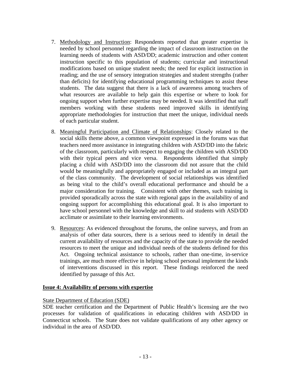- 7. Methodology and Instruction: Respondents reported that greater expertise is needed by school personnel regarding the impact of classroom instruction on the learning needs of students with ASD/DD; academic instruction and other content instruction specific to this population of students; curricular and instructional modifications based on unique student needs; the need for explicit instruction in reading; and the use of sensory integration strategies and student strengths (rather than deficits) for identifying educational programming techniques to assist these students. The data suggest that there is a lack of awareness among teachers of what resources are available to help gain this expertise or where to look for ongoing support when further expertise may be needed. It was identified that staff members working with these students need improved skills in identifying appropriate methodologies for instruction that meet the unique, individual needs of each particular student.
- 8. Meaningful Participation and Climate of Relationships: Closely related to the social skills theme above, a common viewpoint expressed in the forums was that teachers need more assistance in integrating children with ASD/DD into the fabric of the classroom, particularly with respect to engaging the children with ASD/DD with their typical peers and vice versa. Respondents identified that simply placing a child with ASD/DD into the classroom did not assure that the child would be meaningfully and appropriately engaged or included as an integral part of the class community. The development of social relationships was identified as being vital to the child's overall educational performance and should be a major consideration for training. Consistent with other themes, such training is provided sporadically across the state with regional gaps in the availability of and ongoing support for accomplishing this educational goal. It is also important to have school personnel with the knowledge and skill to aid students with ASD/DD acclimate or assimilate to their learning environments.
- 9. Resources: As evidenced throughout the forums, the online surveys, and from an analysis of other data sources, there is a serious need to identify in detail the current availability of resources and the capacity of the state to provide the needed resources to meet the unique and individual needs of the students defined for this Act. Ongoing technical assistance to schools, rather than one-time, in-service trainings, are much more effective in helping school personal implement the kinds of interventions discussed in this report. These findings reinforced the need identified by passage of this Act.

#### **Issue 4: Availability of persons with expertise**

State Department of Education (SDE)

SDE teacher certification and the Department of Public Health's licensing are the two processes for validation of qualifications in educating children with ASD/DD in Connecticut schools. The State does not validate qualifications of any other agency or individual in the area of ASD/DD.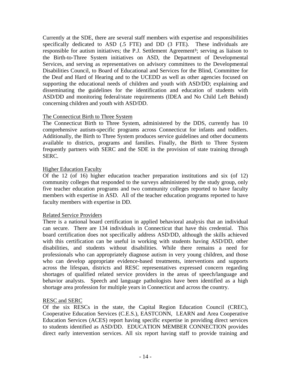Currently at the SDE, there are several staff members with expertise and responsibilities specifically dedicated to ASD (.5 FTE) and DD (3 FTE). These individuals are responsible for autism initiatives; the P.J. Settlement Agreement<sup>3</sup>; serving as liaison to the Birth-to-Three System initiatives on ASD, the Department of Developmental Services, and serving as representatives on advisory committees to the Developmental Disabilities Council, to Board of Educational and Services for the Blind, Committee for the Deaf and Hard of Hearing and to the UCEDD as well as other agencies focused on supporting the educational needs of children and youth with ASD/DD; explaining and disseminating the guidelines for the identification and education of students with ASD/DD and monitoring federal/state requirements (IDEA and No Child Left Behind) concerning children and youth with ASD/DD.

#### The Connecticut Birth to Three System

The Connecticut Birth to Three System, administered by the DDS, currently has 10 comprehensive autism-specific programs across Connecticut for infants and toddlers. Additionally, the Birth to Three System produces service guidelines and other documents available to districts, programs and families. Finally, the Birth to Three System frequently partners with SERC and the SDE in the provision of state training through SERC.

#### Higher Education Faculty

Of the 12 (of 16) higher education teacher preparation institutions and six (of 12) community colleges that responded to the surveys administered by the study group, only five teacher education programs and two community colleges reported to have faculty members with expertise in ASD. All of the teacher education programs reported to have faculty members with expertise in DD.

#### Related Service Providers

There is a national board certification in applied behavioral analysis that an individual can secure. There are 134 individuals in Connecticut that have this credential. This board certification does not specifically address ASD/DD, although the skills achieved with this certification can be useful in working with students having ASD/DD, other disabilities, and students without disabilities. While there remains a need for professionals who can appropriately diagnose autism in very young children, and those who can develop appropriate evidence-based treatments, interventions and supports across the lifespan, districts and RESC representatives expressed concern regarding shortages of qualified related service providers in the areas of speech/language and behavior analysts. Speech and language pathologists have been identified as a high shortage area profession for multiple years in Connecticut and across the country.

#### RESC and SERC

Of the six RESCs in the state, the Capital Region Education Council (CREC), Cooperative Education Services (C.E.S.), EASTCONN, LEARN and Area Cooperative Education Services (ACES) report having specific expertise in providing direct services to students identified as ASD/DD. EDUCATION MEMBER CONNECTION provides direct early intervention services. All six report having staff to provide training and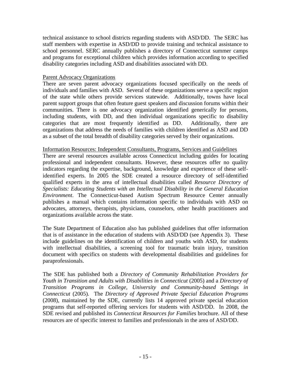technical assistance to school districts regarding students with ASD/DD. The SERC has staff members with expertise in ASD/DD to provide training and technical assistance to school personnel. SERC annually publishes a directory of Connecticut summer camps and programs for exceptional children which provides information according to specified disability categories including ASD and disabilities associated with DD.

#### Parent Advocacy Organizations

There are seven parent advocacy organizations focused specifically on the needs of individuals and families with ASD. Several of these organizations serve a specific region of the state while others provide services statewide. Additionally, towns have local parent support groups that often feature guest speakers and discussion forums within their communities. There is one advocacy organization identified generically for persons, including students, with DD, and then individual organizations specific to disability categories that are most frequently identified as DD. Additionally, there are organizations that address the needs of families with children identified as ASD and DD as a subset of the total breadth of disability categories served by their organizations.

#### Information Resources: Independent Consultants, Programs, Services and Guidelines

There are several resources available across Connecticut including guides for locating professional and independent consultants. However, these resources offer no quality indicators regarding the expertise, background, knowledge and experience of these selfidentified experts. In 2005 the SDE created a resource directory of self-identified qualified experts in the area of intellectual disabilities called *Resource Directory of Specialists: Educating Students with an Intellectual Disability in the General Education Environment*. The Connecticut-based Autism Spectrum Resource Center annually publishes a manual which contains information specific to individuals with ASD on advocates, attorneys, therapists, physicians, counselors, other health practitioners and organizations available across the state.

The State Department of Education also has published guidelines that offer information that is of assistance in the education of students with ASD/DD (see Appendix 3). These include guidelines on the identification of children and youths with ASD, for students with intellectual disabilities, a screening tool for traumatic brain injury, transition document with specifics on students with developmental disabilities and guidelines for paraprofessionals.

The SDE has published both a *Directory of Community Rehabilitation Providers for Youth in Transition and Adults with Disabilities in Connecticut* (2005) and a *Directory of Transition Programs in College, University and Community-based Settings in Connecticut* (2005)*.* The *Directory of Approved Private Special Education Programs*  (2008), maintained by the SDE, currently lists 14 approved private special education programs that self-reported offering services for students with ASD/DD. In 2008, the SDE revised and published its *Connecticut Resources for Families* brochure. All of these resources are of specific interest to families and professionals in the area of ASD/DD.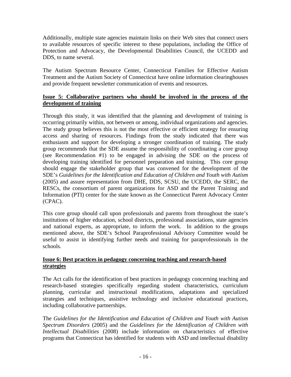Additionally, multiple state agencies maintain links on their Web sites that connect users to available resources of specific interest to these populations, including the Office of Protection and Advocacy, the Developmental Disabilities Council, the UCEDD and DDS, to name several.

The Autism Spectrum Resource Center, Connecticut Families for Effective Autism Treatment and the Autism Society of Connecticut have online information clearinghouses and provide frequent newsletter communication of events and resources.

## **Issue 5: Collaborative partners who should be involved in the process of the development of training**

Through this study, it was identified that the planning and development of training is occurring primarily within, not between or among, individual organizations and agencies. The study group believes this is not the most effective or efficient strategy for ensuring access and sharing of resources. Findings from the study indicated that there was enthusiasm and support for developing a stronger coordination of training. The study group recommends that the SDE assume the responsibility of coordinating a core group (see Recommendation #1) to be engaged in advising the SDE on the process of developing training identified for personnel preparation and training. This core group should engage the stakeholder group that was convened for the development of the SDE's *Guidelines for the Identification and Education of Children and Youth with Autism* (2005) and assure representation from DHE, DDS, SCSU, the UCEDD, the SERC, the RESCs, the consortium of parent organizations for ASD and the Parent Training and Information (PTI) center for the state known as the Connecticut Parent Advocacy Center (CPAC).

This core group should call upon professionals and parents from throughout the state's institutions of higher education, school districts, professional associations, state agencies and national experts, as appropriate, to inform the work. In addition to the groups mentioned above, the SDE's School Paraprofessional Advisory Committee would be useful to assist in identifying further needs and training for paraprofessionals in the schools.

#### **Issue 6: Best practices in pedagogy concerning teaching and research-based strategies**

The Act calls for the identification of best practices in pedagogy concerning teaching and research-based strategies specifically regarding student characteristics, curriculum planning, curricular and instructional modifications, adaptations and specialized strategies and techniques, assistive technology and inclusive educational practices, including collaborative partnerships.

The *Guidelines for the Identification and Education of Children and Youth with Autism Spectrum Disorders* (2005) and the *Guidelines for the Identification of Children with Intellectual Disabilities* (2008) include information on characteristics of effective programs that Connecticut has identified for students with ASD and intellectual disability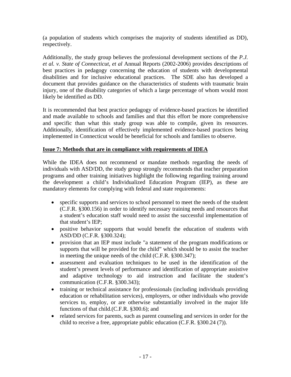(a population of students which comprises the majority of students identified as DD), respectively.

Additionally, the study group believes the professional development sections of the *P.J. et al. v. State of Connecticut, et al* Annual Reports (2002-2006) provides descriptions of best practices in pedagogy concerning the education of students with developmental disabilities and for inclusive educational practices. The SDE also has developed a document that provides guidance on the characteristics of students with traumatic brain injury, one of the disability categories of which a large percentage of whom would most likely be identified as DD.

It is recommended that best practice pedagogy of evidence-based practices be identified and made available to schools and families and that this effort be more comprehensive and specific than what this study group was able to compile, given its resources. Additionally, identification of effectively implemented evidence-based practices being implemented in Connecticut would be beneficial for schools and families to observe.

## **Issue 7: Methods that are in compliance with requirements of IDEA**

While the IDEA does not recommend or mandate methods regarding the needs of individuals with ASD/DD, the study group strongly recommends that teacher preparation programs and other training initiatives highlight the following regarding training around the development a child's Individualized Education Program (IEP), as these are mandatory elements for complying with federal and state requirements:

- specific supports and services to school personnel to meet the needs of the student (C.F.R. §300.156) in order to identify necessary training needs and resources that a student's education staff would need to assist the successful implementation of that student's IEP;
- positive behavior supports that would benefit the education of students with ASD/DD (C.F.R. §300.324);
- provision that an IEP must include "a statement of the program modifications or supports that will be provided for the child" which should be to assist the teacher in meeting the unique needs of the child (C.F.R. §300.347);
- assessment and evaluation techniques to be used in the identification of the student's present levels of performance and identification of appropriate assistive and adaptive technology to aid instruction and facilitate the student's communication (C.F.R. §300.343);
- training or technical assistance for professionals (including individuals providing education or rehabilitation services), employers, or other individuals who provide services to, employ, or are otherwise substantially involved in the major life functions of that child.(C.F.R. §300.6); and
- related services for parents, such as parent counseling and services in order for the child to receive a free, appropriate public education (C.F.R. §300.24 (7)).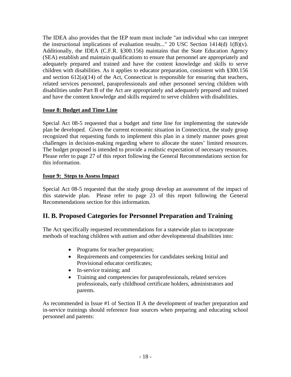The IDEA also provides that the IEP team must include "an individual who can interpret the instructional implications of evaluation results..." 20 USC Section  $1414(d) 1(B)(v)$ . Additionally, the IDEA (C.F.R. §300.156) maintains that the State Education Agency (SEA) establish and maintain qualifications to ensure that personnel are appropriately and adequately prepared and trained and have the content knowledge and skills to serve children with disabilities. As it applies to educator preparation, consistent with §300.156 and section  $612(a)(14)$  of the Act, Connecticut is responsible for ensuring that teachers, related services personnel, paraprofessionals and other personnel serving children with disabilities under Part B of the Act are appropriately and adequately prepared and trained and have the content knowledge and skills required to serve children with disabilities.

## **Issue 8: Budget and Time Line**

Special Act 08-5 requested that a budget and time line for implementing the statewide plan be developed. Given the current economic situation in Connecticut, the study group recognized that requesting funds to implement this plan in a timely manner poses great challenges in decision-making regarding where to allocate the states' limited resources. The budget proposed is intended to provide a realistic expectation of necessary resources. Please refer to page 27 of this report following the General Recommendations section for this information.

## **Issue 9: Steps to Assess Impact**

Special Act 08-5 requested that the study group develop an assessment of the impact of this statewide plan. Please refer to page 23 of this report following the General Recommendations section for this information.

# **II. B. Proposed Categories for Personnel Preparation and Training**

The Act specifically requested recommendations for a statewide plan to incorporate methods of teaching children with autism and other developmental disabilities into:

- Programs for teacher preparation;
- Requirements and competencies for candidates seeking Initial and Provisional educator certificates;
- In-service training; and
- Training and competencies for paraprofessionals, related services professionals, early childhood certificate holders, administrators and parents.

As recommended in Issue #1 of Section II A the development of teacher preparation and in-service trainings should reference four sources when preparing and educating school personnel and parents: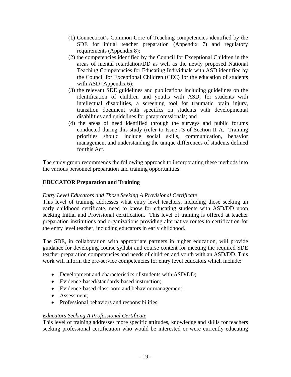- (1) Connecticut's Common Core of Teaching competencies identified by the SDE for initial teacher preparation (Appendix 7) and regulatory requirements (Appendix 8);
- (2) the competencies identified by the Council for Exceptional Children in the areas of mental retardation/DD as well as the newly proposed National Teaching Competencies for Educating Individuals with ASD identified by the Council for Exceptional Children (CEC) for the education of students with ASD (Appendix 6);
- (3) the relevant SDE guidelines and publications including guidelines on the identification of children and youths with ASD, for students with intellectual disabilities, a screening tool for traumatic brain injury, transition document with specifics on students with developmental disabilities and guidelines for paraprofessionals; and
- (4) the areas of need identified through the surveys and public forums conducted during this study (refer to Issue #3 of Section II A. Training priorities should include social skills, communication, behavior management and understanding the unique differences of students defined for this Act.

The study group recommends the following approach to incorporating these methods into the various personnel preparation and training opportunities:

## **EDUCATOR Preparation and Training**

## *Entry Level Educators and Those Seeking A Provisional Certificate*

This level of training addresses what entry level teachers, including those seeking an early childhood certificate, need to know for educating students with ASD/DD upon seeking Initial and Provisional certification. This level of training is offered at teacher preparation institutions and organizations providing alternative routes to certification for the entry level teacher, including educators in early childhood.

The SDE, in collaboration with appropriate partners in higher education, will provide guidance for developing course syllabi and course content for meeting the required SDE teacher preparation competencies and needs of children and youth with an ASD/DD. This work will inform the pre-service competencies for entry level educators which include:

- Development and characteristics of students with ASD/DD;
- Evidence-based/standards-based instruction;
- Evidence-based classroom and behavior management;
- Assessment;
- Professional behaviors and responsibilities.

## *Educators Seeking A Professional Certificate*

This level of training addresses more specific attitudes, knowledge and skills for teachers seeking professional certification who would be interested or were currently educating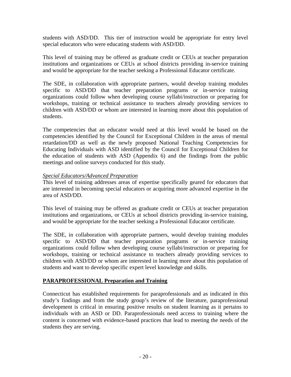students with ASD/DD. This tier of instruction would be appropriate for entry level special educators who were educating students with ASD/DD.

This level of training may be offered as graduate credit or CEUs at teacher preparation institutions and organizations or CEUs at school districts providing in-service training and would be appropriate for the teacher seeking a Professional Educator certificate.

The SDE, in collaboration with appropriate partners, would develop training modules specific to ASD/DD that teacher preparation programs or in-service training organizations could follow when developing course syllabi/instruction or preparing for workshops, training or technical assistance to teachers already providing services to children with ASD/DD or whom are interested in learning more about this population of students.

The competencies that an educator would need at this level would be based on the competencies identified by the Council for Exceptional Children in the areas of mental retardation/DD as well as the newly proposed National Teaching Competencies for Educating Individuals with ASD identified by the Council for Exceptional Children for the education of students with ASD (Appendix 6) and the findings from the public meetings and online surveys conducted for this study.

#### *Special Educators/Advanced Preparation*

This level of training addresses areas of expertise specifically geared for educators that are interested in becoming special educators or acquiring more advanced expertise in the area of ASD/DD.

This level of training may be offered as graduate credit or CEUs at teacher preparation institutions and organizations, or CEUs at school districts providing in-service training, and would be appropriate for the teacher seeking a Professional Educator certificate.

The SDE, in collaboration with appropriate partners, would develop training modules specific to ASD/DD that teacher preparation programs or in-service training organizations could follow when developing course syllabi/instruction or preparing for workshops, training or technical assistance to teachers already providing services to children with ASD/DD or whom are interested in learning more about this population of students and want to develop specific expert level knowledge and skills.

#### **PARAPROFESSIONAL Preparation and Training**

Connecticut has established requirements for paraprofessionals and as indicated in this study's findings and from the study group's review of the literature, paraprofessional development is critical in ensuring positive results on student learning as it pertains to individuals with an ASD or DD. Paraprofessionals need access to training where the content is concerned with evidence-based practices that lead to meeting the needs of the students they are serving.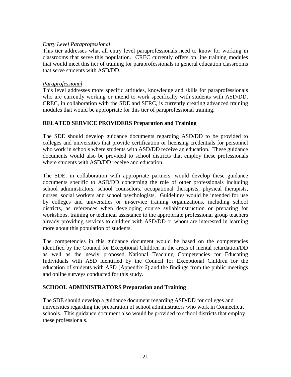### *Entry Level Paraprofessional*

This tier addresses what all entry level paraprofessionals need to know for working in classrooms that serve this population. CREC currently offers on line training modules that would meet this tier of training for paraprofessionals in general education classrooms that serve students with ASD/DD.

#### *Paraprofessional*

This level addresses more specific attitudes, knowledge and skills for paraprofessionals who are currently working or intend to work specifically with students with ASD/DD. CREC, in collaboration with the SDE and SERC, is currently creating advanced training modules that would be appropriate for this tier of paraprofessional training.

## **RELATED SERVICE PROVIDERS Preparation and Training**

The SDE should develop guidance documents regarding ASD/DD to be provided to colleges and universities that provide certification or licensing credentials for personnel who work in schools where students with ASD/DD receive an education. These guidance documents would also be provided to school districts that employ these professionals where students with ASD/DD receive and education.

The SDE, in collaboration with appropriate partners, would develop these guidance documents specific to ASD/DD concerning the role of other professionals including school administrators, school counselors, occupational therapists, physical therapists, nurses, social workers and school psychologists. Guidelines would be intended for use by colleges and universities or in-service training organizations, including school districts, as references when developing course syllabi/instruction or preparing for workshops, training or technical assistance to the appropriate professional group teachers already providing services to children with ASD/DD or whom are interested in learning more about this population of students.

The competencies in this guidance document would be based on the competencies identified by the Council for Exceptional Children in the areas of mental retardation/DD as well as the newly proposed National Teaching Competencies for Educating Individuals with ASD identified by the Council for Exceptional Children for the education of students with ASD (Appendix 6) and the findings from the public meetings and online surveys conducted for this study.

#### **SCHOOL ADMINISTRATORS Preparation and Training**

The SDE should develop a guidance document regarding ASD/DD for colleges and universities regarding the preparation of school administrators who work in Connecticut schools. This guidance document also would be provided to school districts that employ these professionals.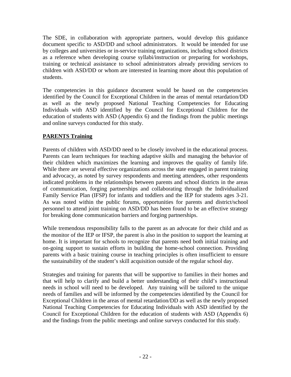The SDE, in collaboration with appropriate partners, would develop this guidance document specific to ASD/DD and school administrators. It would be intended for use by colleges and universities or in-service training organizations, including school districts as a reference when developing course syllabi/instruction or preparing for workshops, training or technical assistance to school administrators already providing services to children with ASD/DD or whom are interested in learning more about this population of students.

The competencies in this guidance document would be based on the competencies identified by the Council for Exceptional Children in the areas of mental retardation/DD as well as the newly proposed National Teaching Competencies for Educating Individuals with ASD identified by the Council for Exceptional Children for the education of students with ASD (Appendix 6) and the findings from the public meetings and online surveys conducted for this study.

## **PARENTS Training**

Parents of children with ASD/DD need to be closely involved in the educational process. Parents can learn techniques for teaching adaptive skills and managing the behavior of their children which maximizes the learning and improves the quality of family life. While there are several effective organizations across the state engaged in parent training and advocacy, as noted by survey respondents and meeting attendees, other respondents indicated problems in the relationships between parents and school districts in the areas of communication, forging partnerships and collaborating through the Individualized Family Service Plan (IFSP) for infants and toddlers and the IEP for students ages 3-21. As was noted within the public forums, opportunities for parents and district/school personnel to attend joint training on ASD/DD has been found to be an effective strategy for breaking done communication barriers and forging partnerships.

While tremendous responsibility falls to the parent as an advocate for their child and as the monitor of the IEP or IFSP, the parent is also in the position to support the learning at home. It is important for schools to recognize that parents need both initial training and on-going support to sustain efforts in building the home-school connection. Providing parents with a basic training course in teaching principles is often insufficient to ensure the sustainability of the student's skill acquisition outside of the regular school day.

Strategies and training for parents that will be supportive to families in their homes and that will help to clarify and build a better understanding of their child's instructional needs in school will need to be developed. Any training will be tailored to the unique needs of families and will be informed by the competencies identified by the Council for Exceptional Children in the areas of mental retardation/DD as well as the newly proposed National Teaching Competencies for Educating Individuals with ASD identified by the Council for Exceptional Children for the education of students with ASD (Appendix 6) and the findings from the public meetings and online surveys conducted for this study.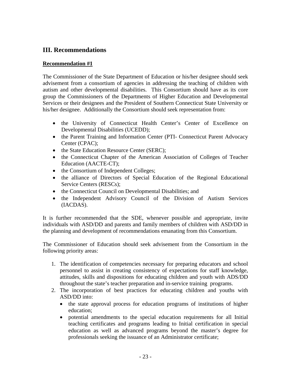# **III. Recommendations**

#### **Recommendation #1**

The Commissioner of the State Department of Education or his/her designee should seek advisement from a consortium of agencies in addressing the teaching of children with autism and other developmental disabilities. This Consortium should have as its core group the Commissioners of the Departments of Higher Education and Developmental Services or their designees and the President of Southern Connecticut State University or his/her designee. Additionally the Consortium should seek representation from:

- the University of Connecticut Health Center's Center of Excellence on Developmental Disabilities (UCEDD);
- the Parent Training and Information Center (PTI- Connecticut Parent Advocacy Center (CPAC);
- the State Education Resource Center (SERC);
- the Connecticut Chapter of the American Association of Colleges of Teacher Education (AACTE-CT);
- the Consortium of Independent Colleges;
- the alliance of Directors of Special Education of the Regional Educational Service Centers (RESCs);
- the Connecticut Council on Developmental Disabilities; and
- the Independent Advisory Council of the Division of Autism Services (IACDAS).

It is further recommended that the SDE, whenever possible and appropriate, invite individuals with ASD/DD and parents and family members of children with ASD/DD in the planning and development of recommendations emanating from this Consortium.

The Commissioner of Education should seek advisement from the Consortium in the following priority areas:

- 1. The identification of competencies necessary for preparing educators and school personnel to assist in creating consistency of expectations for staff knowledge, attitudes, skills and dispositions for educating children and youth with ADS/DD throughout the state's teacher preparation and in-service training programs.
- 2. The incorporation of best practices for educating children and youths with ASD/DD into:
	- the state approval process for education programs of institutions of higher education;
	- potential amendments to the special education requirements for all Initial teaching certificates and programs leading to Initial certification in special education as well as advanced programs beyond the master's degree for professionals seeking the issuance of an Administrator certificate;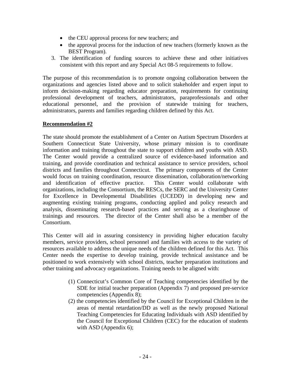- the CEU approval process for new teachers; and
- the approval process for the induction of new teachers (formerly known as the BEST Program).
- 3. The identification of funding sources to achieve these and other initiatives consistent with this report and any Special Act 08-5 requirements to follow.

The purpose of this recommendation is to promote ongoing collaboration between the organizations and agencies listed above and to solicit stakeholder and expert input to inform decision-making regarding educator preparation, requirements for continuing professional development of teachers, administrators, paraprofessionals and other educational personnel, and the provision of statewide training for teachers, administrators, parents and families regarding children defined by this Act.

#### **Recommendation #2**

The state should promote the establishment of a Center on Autism Spectrum Disorders at Southern Connecticut State University, whose primary mission is to coordinate information and training throughout the state to support children and youths with ASD. The Center would provide a centralized source of evidence-based information and training, and provide coordination and technical assistance to service providers, school districts and families throughout Connecticut. The primary components of the Center would focus on training coordination, resource dissemination, collaboration/networking and identification of effective practice. This Center would collaborate with organizations, including the Consortium, the RESCs, the SERC and the University Center for Excellence in Developmental Disabilities (UCEDD) in developing new and augmenting existing training programs, conducting applied and policy research and analysis, disseminating research-based practices and serving as a clearinghouse of trainings and resources. The director of the Center shall also be a member of the Consortium.

This Center will aid in assuring consistency in providing higher education faculty members, service providers, school personnel and families with access to the variety of resources available to address the unique needs of the children defined for this Act. This Center needs the expertise to develop training, provide technical assistance and be positioned to work extensively with school districts, teacher preparation institutions and other training and advocacy organizations. Training needs to be aligned with:

- (1) Connecticut's Common Core of Teaching competencies identified by the SDE for initial teacher preparation (Appendix 7) and proposed pre-service competencies (Appendix 8);
- (2) the competencies identified by the Council for Exceptional Children in the areas of mental retardation/DD as well as the newly proposed National Teaching Competencies for Educating Individuals with ASD identified by the Council for Exceptional Children (CEC) for the education of students with ASD (Appendix 6);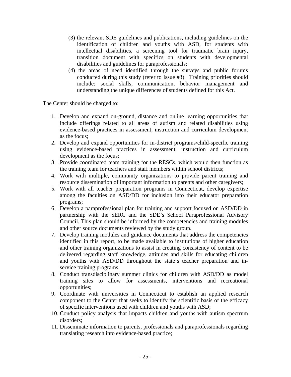- (3) the relevant SDE guidelines and publications, including guidelines on the identification of children and youths with ASD, for students with intellectual disabilities, a screening tool for traumatic brain injury, transition document with specifics on students with developmental disabilities and guidelines for paraprofessionals;
- (4) the areas of need identified through the surveys and public forums conducted during this study (refer to Issue #3). Training priorities should include: social skills, communication, behavior management and understanding the unique differences of students defined for this Act.

The Center should be charged to:

- 1. Develop and expand on-ground, distance and online learning opportunities that include offerings related to all areas of autism and related disabilities using evidence-based practices in assessment, instruction and curriculum development as the focus;
- 2. Develop and expand opportunities for in-district programs/child-specific training using evidence-based practices in assessment, instruction and curriculum development as the focus;
- 3. Provide coordinated team training for the RESCs, which would then function as the training team for teachers and staff members within school districts;
- 4. Work with multiple, community organizations to provide parent training and resource dissemination of important information to parents and other caregivers;
- 5. Work with all teacher preparation programs in Connecticut, develop expertise among the faculties on ASD/DD for inclusion into their educator preparation programs;
- 6. Develop a paraprofessional plan for training and support focused on ASD/DD in partnership with the SERC and the SDE's School Paraprofessional Advisory Council. This plan should be informed by the competencies and training modules and other source documents reviewed by the study group.
- 7. Develop training modules and guidance documents that address the competencies identified in this report, to be made available to institutions of higher education and other training organizations to assist in creating consistency of content to be delivered regarding staff knowledge, attitudes and skills for educating children and youths with ASD/DD throughout the state's teacher preparation and inservice training programs.
- 8. Conduct transdisciplinary summer clinics for children with ASD/DD as model training sites to allow for assessments, interventions and recreational opportunities;
- 9. Coordinate with universities in Connecticut to establish an applied research component to the Center that seeks to identify the scientific basis of the efficacy of specific interventions used with children and youths with ASD;
- 10. Conduct policy analysis that impacts children and youths with autism spectrum disorders;
- 11. Disseminate information to parents, professionals and paraprofessionals regarding translating research into evidence-based practice;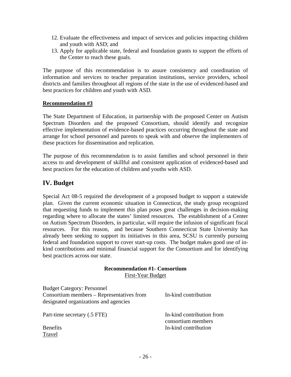- 12. Evaluate the effectiveness and impact of services and policies impacting children and youth with ASD; and
- 13. Apply for applicable state, federal and foundation grants to support the efforts of the Center to reach these goals.

The purpose of this recommendation is to assure consistency and coordination of information and services to teacher preparation institutions, service providers, school districts and families throughout all regions of the state in the use of evidenced-based and best practices for children and youth with ASD.

#### **Recommendation #3**

The State Department of Education, in partnership with the proposed Center on Autism Spectrum Disorders and the proposed Consortium, should identify and recognize effective implementation of evidence-based practices occurring throughout the state and arrange for school personnel and parents to speak with and observe the implementers of these practices for dissemination and replication.

The purpose of this recommendation is to assist families and school personnel in their access to and development of skillful and consistent application of evidenced-based and best practices for the education of children and youths with ASD.

# **IV. Budget**

Special Act 08-5 required the development of a proposed budget to support a statewide plan. Given the current economic situation in Connecticut, the study group recognized that requesting funds to implement this plan poses great challenges in decision-making regarding where to allocate the states' limited resources. The establishment of a Center on Autism Spectrum Disorders, in particular, will require the infusion of significant fiscal resources. For this reason, and because Southern Connecticut State University has already been seeking to support its initiatives in this area, SCSU is currently pursuing federal and foundation support to cover start-up costs. The budget makes good use of inkind contributions and minimal financial support for the Consortium and for identifying best practices across our state.

| <b>Recommendation #1- Consortium</b> |  |
|--------------------------------------|--|
| First-Year Budget                    |  |

| <b>Budget Category: Personnel</b>         |                                                 |
|-------------------------------------------|-------------------------------------------------|
| Consortium members – Representatives from | In-kind contribution                            |
| designated organizations and agencies     |                                                 |
| Part-time secretary (.5 FTE)              | In-kind contribution from<br>consortium members |
| <b>Benefits</b>                           | In-kind contribution                            |
| Travel                                    |                                                 |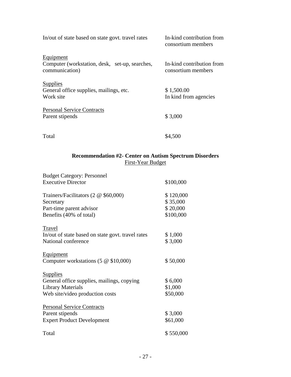| In/out of state based on state govt. travel rates                                    | In-kind contribution from<br>consortium members |
|--------------------------------------------------------------------------------------|-------------------------------------------------|
| <b>Equipment</b><br>Computer (workstation, desk, set-up, searches,<br>communication) | In-kind contribution from<br>consortium members |
| <b>Supplies</b><br>General office supplies, mailings, etc.<br>Work site              | \$1,500.00<br>In kind from agencies             |
| <b>Personal Service Contracts</b><br>Parent stipends                                 | \$3,000                                         |
| Total                                                                                | \$4,500                                         |

## **Recommendation #2- Center on Autism Spectrum Disorders**  First-Year Budget

| <b>Budget Category: Personnel</b>                 |           |
|---------------------------------------------------|-----------|
| <b>Executive Director</b>                         | \$100,000 |
| Trainers/Facilitators (2 @ \$60,000)              | \$120,000 |
| Secretary                                         | \$35,000  |
| Part-time parent advisor                          | \$20,000  |
| Benefits (40% of total)                           | \$100,000 |
| Travel                                            |           |
| In/out of state based on state govt. travel rates | \$1,000   |
| National conference                               | \$3,000   |
| <b>Equipment</b>                                  |           |
| Computer workstations $(5 \& 10,000)$             | \$50,000  |
| <b>Supplies</b>                                   |           |
| General office supplies, mailings, copying        | \$6,000   |
| <b>Library Materials</b>                          | \$1,000   |
| Web site/video production costs                   | \$50,000  |
| <b>Personal Service Contracts</b>                 |           |
| Parent stipends                                   | \$3,000   |
| <b>Expert Product Development</b>                 | \$61,000  |
| Total                                             | \$550,000 |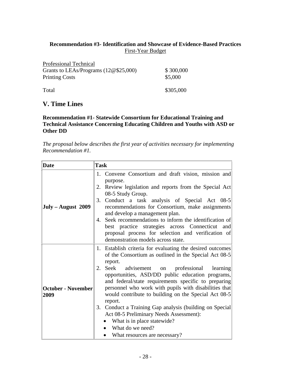## **Recommendation #3- Identification and Showcase of Evidence-Based Practices**  First-Year Budget

| Professional Technical                 |           |
|----------------------------------------|-----------|
| Grants to LEAs/Programs $(12@$25,000)$ | \$300,000 |
| <b>Printing Costs</b>                  | \$5,000   |
|                                        |           |
| Total                                  | \$305,000 |

# **V. Time Lines**

#### **Recommendation #1- Statewide Consortium for Educational Training and Technical Assistance Concerning Educating Children and Youths with ASD or Other DD**

*The proposal below describes the first year of activities necessary for implementing Recommendation #1.* 

| <b>Date</b>                       | <b>Task</b>                                                                                                                                                                                                                                                                            |
|-----------------------------------|----------------------------------------------------------------------------------------------------------------------------------------------------------------------------------------------------------------------------------------------------------------------------------------|
|                                   | 1. Convene Consortium and draft vision, mission and<br>purpose.                                                                                                                                                                                                                        |
|                                   | Review legislation and reports from the Special Act<br>2.                                                                                                                                                                                                                              |
| $July - August 2009$              | 08-5 Study Group.<br>3.<br>Conduct a task analysis of Special Act 08-5<br>recommendations for Consortium, make assignments                                                                                                                                                             |
|                                   | and develop a management plan.<br>Seek recommendations to inform the identification of<br>4.<br>best practice strategies across Connecticut and<br>proposal process for selection and verification of<br>demonstration models across state.                                            |
|                                   | 1. Establish criteria for evaluating the desired outcomes<br>of the Consortium as outlined in the Special Act 08-5<br>report.                                                                                                                                                          |
| <b>October - November</b><br>2009 | Seek advisement on professional learning<br>2.<br>opportunities, ASD/DD public education programs,<br>and federal/state requirements specific to preparing<br>personnel who work with pupils with disabilities that<br>would contribute to building on the Special Act 08-5<br>report. |
|                                   | 3. Conduct a Training Gap analysis (building on Special<br>Act 08-5 Preliminary Needs Assessment):<br>What is in place statewide?<br>What do we need?<br>What resources are necessary?                                                                                                 |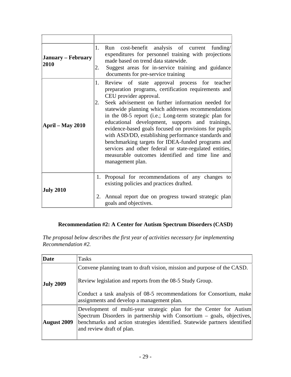| <b>January – February</b><br>2010 | 1.<br>2. | Run cost-benefit analysis of current<br>funding/<br>expenditures for personnel training with projections<br>made based on trend data statewide.<br>Suggest areas for in-service training and guidance<br>documents for pre-service training                                                                                                                                                                                                                                                                                                                                                                                                                     |
|-----------------------------------|----------|-----------------------------------------------------------------------------------------------------------------------------------------------------------------------------------------------------------------------------------------------------------------------------------------------------------------------------------------------------------------------------------------------------------------------------------------------------------------------------------------------------------------------------------------------------------------------------------------------------------------------------------------------------------------|
| <b>April – May 2010</b>           | 1.<br>2. | Review of state approval process for teacher<br>preparation programs, certification requirements and<br>CEU provider approval.<br>Seek advisement on further information needed for<br>statewide planning which addresses recommendations<br>in the 08-5 report (i.e.; Long-term strategic plan for<br>educational development, supports and trainings,<br>evidence-based goals focused on provisions for pupils<br>with ASD/DD, establishing performance standards and<br>benchmarking targets for IDEA-funded programs and<br>services and other federal or state-regulated entities,<br>measurable outcomes identified and time line and<br>management plan. |
| <b>July 2010</b>                  | 2.       | 1. Proposal for recommendations of any changes to<br>existing policies and practices drafted.<br>Annual report due on progress toward strategic plan<br>goals and objectives.                                                                                                                                                                                                                                                                                                                                                                                                                                                                                   |

## **Recommendation #2: A Center for Autism Spectrum Disorders (CASD)**

*The proposal below describes the first year of activities necessary for implementing Recommendation #2.* 

| Date               | <b>Tasks</b>                                                                                                                                                                                                                                            |
|--------------------|---------------------------------------------------------------------------------------------------------------------------------------------------------------------------------------------------------------------------------------------------------|
| <b>July 2009</b>   | Convene planning team to draft vision, mission and purpose of the CASD.<br>Review legislation and reports from the 08-5 Study Group.                                                                                                                    |
|                    | Conduct a task analysis of 08-5 recommendations for Consortium, make<br>assignments and develop a management plan.                                                                                                                                      |
| <b>August 2009</b> | Development of multi-year strategic plan for the Center for Autism<br>Spectrum Disorders in partnership with Consortium – goals, objectives,<br>benchmarks and action strategies identified. Statewide partners identified<br>and review draft of plan. |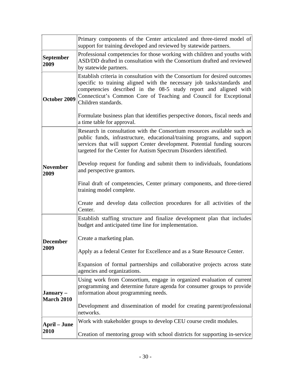|                                | Primary components of the Center articulated and three-tiered model of<br>support for training developed and reviewed by statewide partners.                                                                                                                                                                                                                                                                                         |
|--------------------------------|--------------------------------------------------------------------------------------------------------------------------------------------------------------------------------------------------------------------------------------------------------------------------------------------------------------------------------------------------------------------------------------------------------------------------------------|
| <b>September</b><br>2009       | Professional competencies for those working with children and youths with<br>ASD/DD drafted in consultation with the Consortium drafted and reviewed<br>by statewide partners.                                                                                                                                                                                                                                                       |
| October 2009                   | Establish criteria in consultation with the Consortium for desired outcomes<br>specific to training aligned with the necessary job tasks/standards and<br>competencies described in the 08-5 study report and aligned with<br>Connecticut's Common Core of Teaching and Council for Exceptional<br>Children standards.<br>Formulate business plan that identifies perspective donors, fiscal needs and<br>a time table for approval. |
|                                | Research in consultation with the Consortium resources available such as<br>public funds, infrastructure, educational/training programs, and support<br>services that will support Center development. Potential funding sources<br>targeted for the Center for Autism Spectrum Disorders identified.                                                                                                                                |
| <b>November</b><br>2009        | Develop request for funding and submit them to individuals, foundations<br>and perspective grantors.                                                                                                                                                                                                                                                                                                                                 |
|                                | Final draft of competencies, Center primary components, and three-tiered<br>training model complete.                                                                                                                                                                                                                                                                                                                                 |
|                                | Create and develop data collection procedures for all activities of the<br>Center.                                                                                                                                                                                                                                                                                                                                                   |
|                                | Establish staffing structure and finalize development plan that includes<br>budget and anticipated time line for implementation.                                                                                                                                                                                                                                                                                                     |
| <b>December</b>                | Create a marketing plan.                                                                                                                                                                                                                                                                                                                                                                                                             |
| 2009                           | Apply as a federal Center for Excellence and as a State Resource Center.                                                                                                                                                                                                                                                                                                                                                             |
|                                | Expansion of formal partnerships and collaborative projects across state<br>agencies and organizations.                                                                                                                                                                                                                                                                                                                              |
| January –<br><b>March 2010</b> | Using work from Consortium, engage in organized evaluation of current<br>programming and determine future agenda for consumer groups to provide<br>information about programming needs.                                                                                                                                                                                                                                              |
|                                | Development and dissemination of model for creating parent/professional<br>networks.                                                                                                                                                                                                                                                                                                                                                 |
| <b>April – June</b>            | Work with stakeholder groups to develop CEU course credit modules.                                                                                                                                                                                                                                                                                                                                                                   |
| 2010                           | Creation of mentoring group with school districts for supporting in-service                                                                                                                                                                                                                                                                                                                                                          |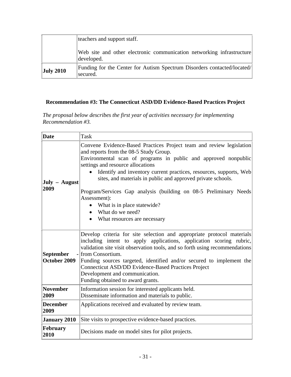|                  | teachers and support staff.                                                         |
|------------------|-------------------------------------------------------------------------------------|
|                  | Web site and other electronic communication networking infrastructure<br>developed. |
| <b>July 2010</b> | Funding for the Center for Autism Spectrum Disorders contacted/located/<br>secured. |

## **Recommendation #3: The Connecticut ASD/DD Evidence-Based Practices Project**

*The proposal below describes the first year of activities necessary for implementing Recommendation #3.* 

| <b>Date</b>                                                                                                                                                                                                                                                                                                                                                                                                                                                                                         | Task                                                                                                                                                                                                                                                                                                                                                                                                                                                                                                                                                 |  |  |  |
|-----------------------------------------------------------------------------------------------------------------------------------------------------------------------------------------------------------------------------------------------------------------------------------------------------------------------------------------------------------------------------------------------------------------------------------------------------------------------------------------------------|------------------------------------------------------------------------------------------------------------------------------------------------------------------------------------------------------------------------------------------------------------------------------------------------------------------------------------------------------------------------------------------------------------------------------------------------------------------------------------------------------------------------------------------------------|--|--|--|
| July – August<br>2009                                                                                                                                                                                                                                                                                                                                                                                                                                                                               | Convene Evidence-Based Practices Project team and review legislation<br>and reports from the 08-5 Study Group.<br>Environmental scan of programs in public and approved nonpublic<br>settings and resource allocations<br>Identify and inventory current practices, resources, supports, Web<br>sites, and materials in public and approved private schools.<br>Program/Services Gap analysis (building on 08-5 Preliminary Needs)<br>Assessment):<br>What is in place statewide?<br>$\bullet$<br>What do we need?<br>• What resources are necessary |  |  |  |
| Develop criteria for site selection and appropriate protocol materials<br>including intent to apply applications, application scoring rubric,<br>validation site visit observation tools, and so forth using recommendations<br><b>September</b><br>- from Consortium.<br>October 2009<br>Funding sources targeted, identified and/or secured to implement the<br><b>Connecticut ASD/DD Evidence-Based Practices Project</b><br>Development and communication.<br>Funding obtained to award grants. |                                                                                                                                                                                                                                                                                                                                                                                                                                                                                                                                                      |  |  |  |
| <b>November</b><br>2009                                                                                                                                                                                                                                                                                                                                                                                                                                                                             | Information session for interested applicants held.<br>Disseminate information and materials to public.                                                                                                                                                                                                                                                                                                                                                                                                                                              |  |  |  |
| <b>December</b><br>2009                                                                                                                                                                                                                                                                                                                                                                                                                                                                             | Applications received and evaluated by review team.                                                                                                                                                                                                                                                                                                                                                                                                                                                                                                  |  |  |  |
| <b>January 2010</b>                                                                                                                                                                                                                                                                                                                                                                                                                                                                                 | Site visits to prospective evidence-based practices.                                                                                                                                                                                                                                                                                                                                                                                                                                                                                                 |  |  |  |
| <b>February</b><br>2010                                                                                                                                                                                                                                                                                                                                                                                                                                                                             | Decisions made on model sites for pilot projects.                                                                                                                                                                                                                                                                                                                                                                                                                                                                                                    |  |  |  |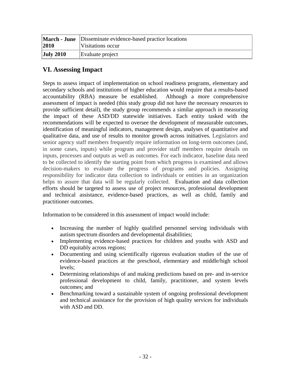| 2010      | <b>March - June</b> Disseminate evidence-based practice locations<br>Visitations occur |  |
|-----------|----------------------------------------------------------------------------------------|--|
| July 2010 | Evaluate project                                                                       |  |

# **VI. Assessing Impact**

Steps to assess impact of implementation on school readiness programs, elementary and secondary schools and institutions of higher education would require that a results-based accountability (RBA) measure be established. Although a more comprehensive assessment of impact is needed (this study group did not have the necessary resources to provide sufficient detail), the study group recommends a similar approach in measuring the impact of these ASD/DD statewide initiatives. Each entity tasked with the recommendations will be expected to oversee the development of measurable outcomes, identification of meaningful indicators, management design, analyses of quantitative and qualitative data, and use of results to monitor growth across initiatives. Legislators and senior agency staff members frequently require information on long-term outcomes (and, in some cases, inputs) while program and provider staff members require details on inputs, processes and outputs as well as outcomes. For each indicator, baseline data need to be collected to identify the starting point from which progress is examined and allows decision-makers to evaluate the progress of programs and policies. Assigning responsibility for indicator data collection to individuals or entities in an organization helps to assure that data will be regularly collected. Evaluation and data collection efforts should be targeted to assess use of project resources, professional development and technical assistance, evidence-based practices, as well as child, family and practitioner outcomes.

Information to be considered in this assessment of impact would include:

- Increasing the number of highly qualified personnel serving individuals with autism spectrum disorders and developmental disabilities;
- Implementing evidence-based practices for children and youths with ASD and DD equitably across regions;
- Documenting and using scientifically rigorous evaluation studies of the use of evidence-based practices at the preschool, elementary and middle/high school levels;
- Determining relationships of and making predictions based on pre- and in-service professional development to child, family, practitioner, and system levels outcomes; and
- Benchmarking toward a sustainable system of ongoing professional development and technical assistance for the provision of high quality services for individuals with ASD and DD.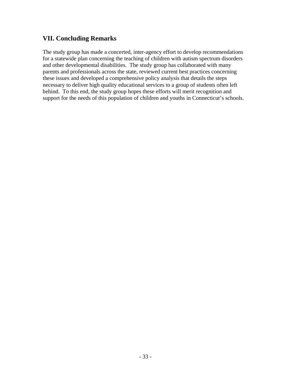# **VII. Concluding Remarks**

The study group has made a concerted, inter-agency effort to develop recommendations for a statewide plan concerning the teaching of children with autism spectrum disorders and other developmental disabilities. The study group has collaborated with many parents and professionals across the state, reviewed current best practices concerning these issues and developed a comprehensive policy analysis that details the steps necessary to deliver high quality educational services to a group of students often left behind. To this end, the study group hopes these efforts will merit recognition and support for the needs of this population of children and youths in Connecticut's schools.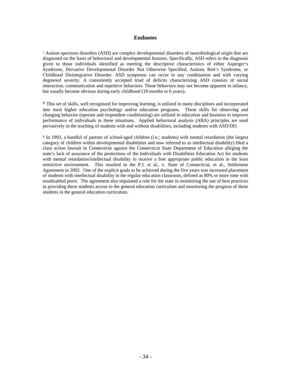#### **Endnotes**

<sup>1</sup> Autism spectrum disorders (ASD) are complex developmental disorders of neurobiological origin that are diagnosed on the basis of behavioral and developmental features. Specifically, ASD refers to the diagnosis given to those individuals identified as meeting the descriptive characteristics of either Asperger's Syndrome, Pervasive Developmental Disorder Not Otherwise Specified, Autism, Rett's Syndrome, or Childhood Disintegrative Disorder. ASD symptoms can occur in any combination and with varying degreesof severity. A consistently accepted triad of deficits characterizing ASD consists of social interaction, communication and repetitive behaviors. These behaviors may not become apparent in infancy, but usually become obvious during early childhood (18 months to 6 years).

² This set of skills, well recognized for improving learning, is utilized in many disciplines and incorporated into most higher education psychology and/or education programs. These skills for observing and changing behavior (operant and respondent conditioning) are utilized in education and business to improve performance of individuals in these situations. Applied behavioral analysis (ABA) principles are used pervasively in the teaching of students with and without disabilities, including students with ASD/DD.

³ In 1993, a handful of parents of school-aged children (i.e.; students) with mental retardation (the largest category of children within developmental disabilities and now referred to as intellectual disability) filed a class action lawsuit in Connecticut against the Connecticut State Department of Education alleging the state's lack of assurance of the protections of the Individuals with Disabilities Education Act for students with mental retardation/intellectual disability to receive a free appropriate public education in the least restrictive environment. This resulted in the P.J. et al., v. State of Connecticut, et al., Settlement Agreement in 2002. One of the explicit goals to be achieved during the five years was increased placement of students with intellectual disability in the regular education classroom, defined as 80% or more time with nondisabled peers. The agreement also stipulated a role for the state in monitoring the use of best practices in providing these students access to the general education curriculum and monitoring the progress of these students in the general education curriculum.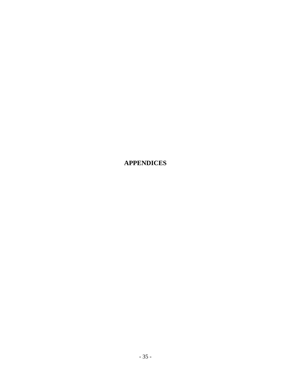**APPENDICES**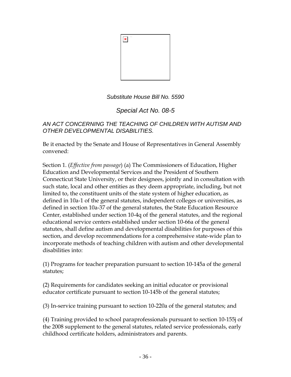

*Substitute House Bill No. 5590*

*Special Act No. 08-5*

*AN ACT CONCERNING THE TEACHING OF CHILDREN WITH AUTISM AND OTHER DEVELOPMENTAL DISABILITIES.* 

Be it enacted by the Senate and House of Representatives in General Assembly convened:

Section 1. (*Effective from passage*) (a) The Commissioners of Education, Higher Education and Developmental Services and the President of Southern Connecticut State University, or their designees, jointly and in consultation with such state, local and other entities as they deem appropriate, including, but not limited to, the constituent units of the state system of higher education, as defined in 10a-1 of the general statutes, independent colleges or universities, as defined in section 10a-37 of the general statutes, the State Education Resource Center, established under section 10-4q of the general statutes, and the regional educational service centers established under section 10-66a of the general statutes, shall define autism and developmental disabilities for purposes of this section, and develop recommendations for a comprehensive state-wide plan to incorporate methods of teaching children with autism and other developmental disabilities into:

(1) Programs for teacher preparation pursuant to section 10-145a of the general statutes;

(2) Requirements for candidates seeking an initial educator or provisional educator certificate pursuant to section 10-145b of the general statutes;

(3) In-service training pursuant to section 10-220a of the general statutes; and

(4) Training provided to school paraprofessionals pursuant to section 10-155j of the 2008 supplement to the general statutes, related service professionals, early childhood certificate holders, administrators and parents.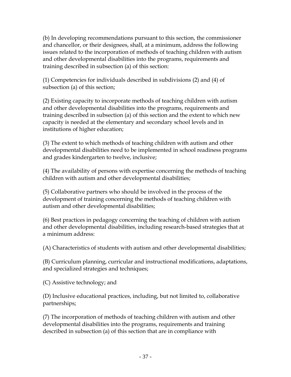(b) In developing recommendations pursuant to this section, the commissioner and chancellor, or their designees, shall, at a minimum, address the following issues related to the incorporation of methods of teaching children with autism and other developmental disabilities into the programs, requirements and training described in subsection (a) of this section:

(1) Competencies for individuals described in subdivisions (2) and (4) of subsection (a) of this section;

(2) Existing capacity to incorporate methods of teaching children with autism and other developmental disabilities into the programs, requirements and training described in subsection (a) of this section and the extent to which new capacity is needed at the elementary and secondary school levels and in institutions of higher education;

(3) The extent to which methods of teaching children with autism and other developmental disabilities need to be implemented in school readiness programs and grades kindergarten to twelve, inclusive;

(4) The availability of persons with expertise concerning the methods of teaching children with autism and other developmental disabilities;

(5) Collaborative partners who should be involved in the process of the development of training concerning the methods of teaching children with autism and other developmental disabilities;

(6) Best practices in pedagogy concerning the teaching of children with autism and other developmental disabilities, including research-based strategies that at a minimum address:

(A) Characteristics of students with autism and other developmental disabilities;

(B) Curriculum planning, curricular and instructional modifications, adaptations, and specialized strategies and techniques;

(C) Assistive technology; and

(D) Inclusive educational practices, including, but not limited to, collaborative partnerships;

(7) The incorporation of methods of teaching children with autism and other developmental disabilities into the programs, requirements and training described in subsection (a) of this section that are in compliance with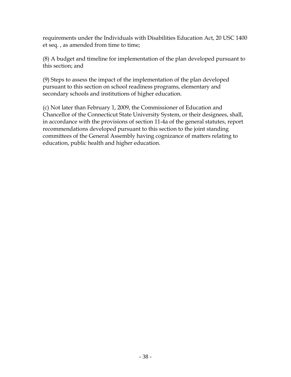requirements under the Individuals with Disabilities Education Act, 20 USC 1400 et seq. , as amended from time to time;

(8) A budget and timeline for implementation of the plan developed pursuant to this section; and

(9) Steps to assess the impact of the implementation of the plan developed pursuant to this section on school readiness programs, elementary and secondary schools and institutions of higher education.

(c) Not later than February 1, 2009, the Commissioner of Education and Chancellor of the Connecticut State University System, or their designees, shall, in accordance with the provisions of section 11-4a of the general statutes, report recommendations developed pursuant to this section to the joint standing committees of the General Assembly having cognizance of matters relating to education, public health and higher education.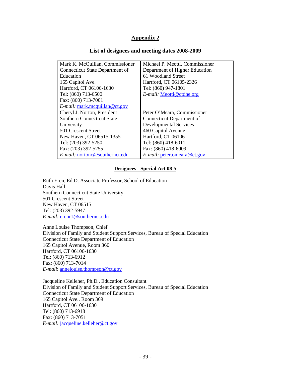#### **List of designees and meeting dates 2008-2009**

| Mark K. McQuillan, Commissioner        | Michael P. Meotti, Commissioner |
|----------------------------------------|---------------------------------|
| <b>Connecticut State Department of</b> | Department of Higher Education  |
| Education                              | 61 Woodland Street              |
| 165 Capitol Ave.                       | Hartford, CT 06105-2326         |
| Hartford, CT 06106-1630                | Tel: (860) 947-1801             |
| Tel: (860) 713-6500                    | E-mail: Meotti@ctdhe.org        |
| Fax: (860) 713-7001                    |                                 |
| $E$ -mail: mark.mcquillan@ct.gov       |                                 |
|                                        |                                 |
| Cheryl J. Norton, President            | Peter O'Meara, Commissioner     |
| <b>Southern Connecticut State</b>      | Connecticut Department of       |
| University                             | <b>Developmental Services</b>   |
| 501 Crescent Street                    | 460 Capitol Avenue              |
| New Haven, CT 06515-1355               | Hartford, CT 06106              |
| Tel: (203) 392-5250                    | Tel: (860) 418-6011             |
| Fax: (203) 392-5255                    | Fax: (860) 418-6009             |

#### **Designees - Special Act 08-5**

Ruth Eren, Ed.D. Associate Professor, School of Education Davis Hall Southern Connecticut State University 501 Crescent Street New Haven, CT 06515 Tel: (203) 392-5947 *E-mail:* erenr1@southernct.edu

Anne Louise Thompson, Chief Division of Family and Student Support Services, Bureau of Special Education Connecticut State Department of Education 165 Capitol Avenue, Room 360 Hartford, CT 06106-1630 Tel: (860) 713-6912 Fax: (860) 713-7014 *E-mail*: annelouise.thompson@ct.gov

Jacqueline Kelleher, Ph.D., Education Consultant Division of Family and Student Support Services, Bureau of Special Education Connecticut State Department of Education 165 Capitol Ave., Room 369 Hartford, CT 06106-1630 Tel: (860) 713-6918 Fax: (860) 713-7051 *E-mail:* jacqueline.kelleher@ct.gov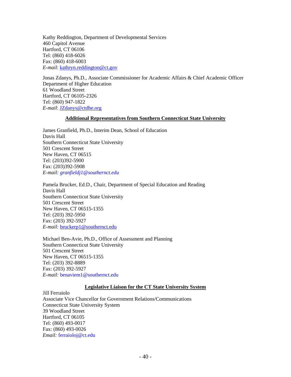Kathy Reddington, Department of Developmental Services 460 Capitol Avenue Hartford, CT 06106 Tel: (860) 418-6026 Fax: (860) 418-6003 *E-mail*: kathryn.reddington@ct.gov

Jonas Zdanys, Ph.D., Associate Commissioner for Academic Affairs & Chief Academic Officer Department of Higher Education 61 Woodland Street Hartford, CT 06105-2326 Tel: (860) 947-1822 *E-mail*: [JZdanys@ctdhe.org](mailto:JZdanys@ctdhe.org)

#### **Additional Representatives from Southern Connecticut State University**

James Granfield, Ph.D., Interim Dean, School of Education Davis Hall Southern Connecticut State University 501 Crescent Street New Haven, CT 06515 Tel: (203)392-5900 Fax: (203)392-5908 *E-mail: granfieldj1@southernct.edu* 

Pamela Brucker, Ed.D., Chair, Department of Special Education and Reading Davis Hall Southern Connecticut State University 501 Crescent Street New Haven, CT 06515-1355 Tel: (203) 392-5950 Fax: (203) 392-5927 *E-mail:* [bruckerp1@southernct.edu](mailto:bruckerp1@southernct.edu) 

Michael Ben-Avie, Ph.D., Office of Assessment and Planning Southern Connecticut State University 501 Crescent Street New Haven, CT 06515-1355 Tel: (203) 392-8889 Fax: (203) 392-5927 *E-mail:* benaviem1@southernct.edu

#### **Legislative Liaison for the CT State University System**

Jill Ferraiolo Associate Vice Chancellor for Government Relations/Communications Connecticut State University System 39 Woodland Street Hartford, CT 06105 Tel: (860) 493-0017 Fax: (860) 493-0026 *Email:* ferraioloj@ct.edu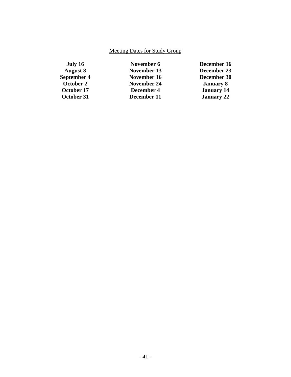# Meeting Dates for Study Group

| July 16         | November 6         | December 16       |
|-----------------|--------------------|-------------------|
| <b>August 8</b> | November 13        | December 23       |
| September 4     | November 16        | December 30       |
| October 2       | <b>November 24</b> | <b>January 8</b>  |
| October 17      | December 4         | <b>January 14</b> |
| October 31      | December 11        | <b>January 22</b> |
|                 |                    |                   |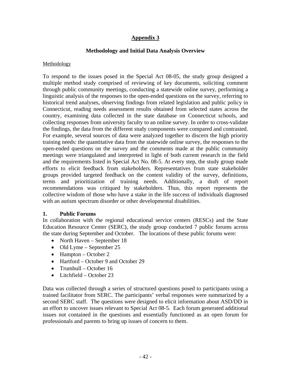#### **Methodology and Initial Data Analysis Overview**

#### Methodology

To respond to the issues posed in the Special Act 08-05, the study group designed a multiple method study comprised of reviewing of key documents, soliciting comment through public community meetings, conducting a statewide online survey, performing a linguistic analysis of the responses to the open-ended questions on the survey, referring to historical trend analyses, observing findings from related legislation and public policy in Connecticut, reading needs assessment results obtained from selected states across the country, examining data collected in the state database on Connecticut schools, and collecting responses from university faculty to an online survey. In order to cross-validate the findings, the data from the different study components were compared and contrasted. For example, several sources of data were analyzed together to discern the high priority training needs: the quantitative data from the statewide online survey, the responses to the open-ended questions on the survey and the comments made at the public community meetings were triangulated and interpreted in light of both current research in the field and the requirements listed in Special Act No. 08-5. At every step, the study group made efforts to elicit feedback from stakeholders. Representatives from state stakeholder groups provided targeted feedback on the content validity of the survey, definitions, terms and prioritization of training needs. Additionally, a draft of report recommendations was critiqued by stakeholders. Thus, this report represents the collective wisdom of those who have a stake in the life success of individuals diagnosed with an autism spectrum disorder or other developmental disabilities.

#### **1. Public Forums**

In collaboration with the regional educational service centers (RESCs) and the State Education Resource Center (SERC), the study group conducted 7 public forums across the state during September and October. The locations of these public forums were:

- North Haven September 18
- Old Lyme September 25
- Hampton October 2
- Hartford October 9 and October 29
- Trumbull October 16
- Litchfield October 23

Data was collected through a series of structured questions posed to participants using a trained facilitator from SERC. The participants' verbal responses were summarized by a second SERC staff. The questions were designed to elicit information about ASD/DD in an effort to uncover issues relevant to Special Act 08-5. Each forum generated additional issues not contained in the questions and essentially functioned as an open forum for professionals and parents to bring up issues of concern to them.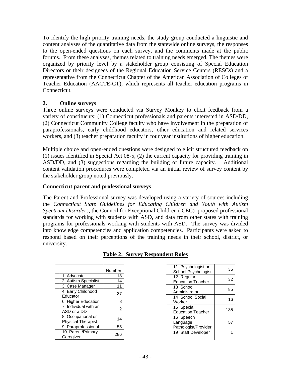To identify the high priority training needs, the study group conducted a linguistic and content analyses of the quantitative data from the statewide online surveys, the responses to the open-ended questions on each survey, and the comments made at the public forums. From these analyses, themes related to training needs emerged. The themes were organized by priority level by a stakeholder group consisting of Special Education Directors or their designees of the Regional Education Service Centers (RESCs) and a representative from the Connecticut Chapter of the American Association of Colleges of Teacher Education (AACTE-CT), which represents all teacher education programs in Connecticut.

#### **2. Online surveys**

Three online surveys were conducted via Survey Monkey to elicit feedback from a variety of constituents: (1) Connecticut professionals and parents interested in ASD/DD, (2) Connecticut Community College faculty who have involvement in the preparation of paraprofessionals, early childhood educators, other education and related services workers, and (3) teacher preparation faculty in four year institutions of higher education.

Multiple choice and open-ended questions were designed to elicit structured feedback on (1) issues identified in Special Act 08-5, (2) the current capacity for providing training in ASD/DD, and (3) suggestions regarding the building of future capacity. Additional content validation procedures were completed via an initial review of survey content by the stakeholder group noted previously.

## **Connecticut parent and professional surveys**

The Parent and Professional survey was developed using a variety of sources including the *Connecticut State Guidelines for Educating Children and Youth with Autism Spectrum Disorders*, the Council for Exceptional Children ( CEC) proposed professional standards for working with students with ASD, and data from other states with training programs for professionals working with students with ASD. The survey was divided into knowledge competencies and application competencies. Participants were asked to respond based on their perceptions of the training needs in their school, district, or university.

|                                                | Number |
|------------------------------------------------|--------|
| 1 Advocate                                     | 13     |
| 2 Autism Specialist                            | 14     |
| 3 Case Manager                                 | 11     |
| 4 Early Childhood<br>Educator                  | 37     |
| 6 Higher Education                             | 8      |
| 7 Individual with an<br>ASD or a DD            | 2      |
| 8 Occupational or<br><b>Physical Therapist</b> | 14     |
| 9 Paraprofessional                             | 55     |
| 10 Parent/Primary<br>Caregiver                 | 286    |

## **Table 2: Survey Respondent Roles**

| 11 Psychologist or<br>School Psychologist     | 35  |
|-----------------------------------------------|-----|
| 12 Regular<br><b>Education Teacher</b>        | 32  |
| 13 School<br>Administrator                    | 85  |
| 14 School Social<br>Worker                    | 16  |
| 15 Special<br><b>Education Teacher</b>        | 135 |
| 16 Speech<br>Language<br>Pathologist/Provider | 57  |
| 19 Staff Developer                            |     |
|                                               |     |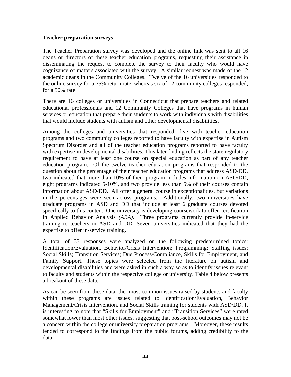#### **Teacher preparation surveys**

The Teacher Preparation survey was developed and the online link was sent to all 16 deans or directors of these teacher education programs, requesting their assistance in disseminating the request to complete the survey to their faculty who would have cognizance of matters associated with the survey. A similar request was made of the 12 academic deans in the Community Colleges. Twelve of the 16 universities responded to the online survey for a 75% return rate, whereas six of 12 community colleges responded, for a 50% rate.

There are 16 colleges or universities in Connecticut that prepare teachers and related educational professionals and 12 Community Colleges that have programs in human services or education that prepare their students to work with individuals with disabilities that would include students with autism and other developmental disabilities.

Among the colleges and universities that responded, five with teacher education programs and two community colleges reported to have faculty with expertise in Autism Spectrum Disorder and all of the teacher education programs reported to have faculty with expertise in developmental disabilities. This later finding reflects the state regulatory requirement to have at least one course on special education as part of any teacher education program. Of the twelve teacher education programs that responded to the question about the percentage of their teacher education programs that address ASD/DD, two indicated that more than 10% of their program includes information on ASD/DD, eight programs indicated 5-10%, and two provide less than 5% of their courses contain information about ASD/DD. All offer a general course in exceptionalities, but variations in the percentages were seen across programs. Additionally, two universities have graduate programs in ASD and DD that include at least 6 graduate courses devoted specifically to this content. One university is developing coursework to offer certification in Applied Behavior Analysis *(ABA)*. Three programs currently provide in-service training to teachers in ASD and DD. Seven universities indicated that they had the expertise to offer in-service training.

A total of 33 responses were analyzed on the following predetermined topics: Identification/Evaluation, Behavior/Crisis Intervention; Programming; Staffing issues; Social Skills; Transition Services; Due Process/Compliance, Skills for Employment, and Family Support. These topics were selected from the literature on autism and developmental disabilities and were asked in such a way so as to identify issues relevant to faculty and students within the respective college or university. Table 4 below presents a breakout of these data.

As can be seen from these data, the most common issues raised by students and faculty within these programs are issues related to Identification/Evaluation, Behavior Management/Crisis Intervention, and Social Skills training for students with ASD/DD. It is interesting to note that "Skills for Employment" and "Transition Services" were rated somewhat lower than most other issues, suggesting that post-school outcomes may not be a concern within the college or university preparation programs. Moreover, these results tended to correspond to the findings from the public forums, adding credibility to the data.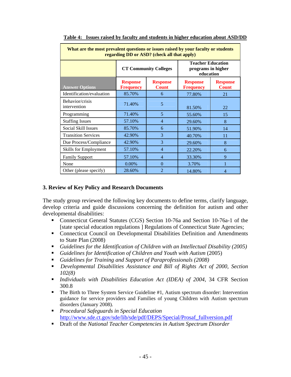| What are the most prevalent questions or issues raised by your faculty or students<br>regarding DD or ASD? (check all that apply) |                                     |                                 |                                                             |                                 |  |
|-----------------------------------------------------------------------------------------------------------------------------------|-------------------------------------|---------------------------------|-------------------------------------------------------------|---------------------------------|--|
|                                                                                                                                   |                                     | <b>CT Community Colleges</b>    | <b>Teacher Education</b><br>programs in higher<br>education |                                 |  |
| <b>Answer Options</b>                                                                                                             | <b>Response</b><br><b>Frequency</b> | <b>Response</b><br><b>Count</b> | <b>Response</b><br><b>Frequency</b>                         | <b>Response</b><br><b>Count</b> |  |
| Identification/evaluation                                                                                                         | 85.70%                              | 6                               | 77.80%                                                      | 21                              |  |
| Behavior/crisis<br>intervention                                                                                                   | 71.40%                              | 5                               | 81.50%                                                      | 22                              |  |
| Programming                                                                                                                       | 71.40%                              | 5                               | 55.60%                                                      | 15                              |  |
| <b>Staffing Issues</b>                                                                                                            | 57.10%                              | $\overline{4}$                  | 29.60%                                                      | 8                               |  |
| Social Skill Issues                                                                                                               | 85.70%                              | 6                               | 51.90%                                                      | 14                              |  |
| <b>Transition Services</b>                                                                                                        | 42.90%                              | 3                               | 40.70%                                                      | 11                              |  |
| Due Process/Compliance                                                                                                            | 42.90%                              | 3                               | 29.60%                                                      | 8                               |  |
| Skills for Employment                                                                                                             | 57.10%                              | $\overline{4}$                  | 22.20%                                                      | 6                               |  |
| <b>Family Support</b>                                                                                                             | 57.10%                              | $\overline{4}$                  | 33.30%                                                      | 9                               |  |
| None                                                                                                                              | 0.00%                               | $\theta$                        | 3.70%                                                       | $\mathbf{1}$                    |  |
| Other (please specify)                                                                                                            | 28.60%                              | $\overline{2}$                  | 14.80%                                                      | $\overline{4}$                  |  |

**Table 4: Issues raised by faculty and students in higher education about ASD/DD**

#### **3. Review of Key Policy and Research Documents**

The study group reviewed the following key documents to define terms, clarify language, develop criteria and guide discussions concerning the definition for autism and other developmental disabilities:

- Connecticut General Statutes (CGS) Section 10-76a and Section 10-76a-1 of the [state special education regulations ] Regulations of Connecticut State Agencies;
- Connecticut Council on Developmental Disabilities Definition and Amendments to State Plan (2008)
- *Guidelines for the Identification of Children with an Intellectual Disability (2005)*
- *Guidelines for Identification of Children and Youth with Autism* (2005)
- *Guidelines for Training and Support of Paraprofessionals (2008)*
- *Developmental Disabilities Assistance and Bill of Rights Act of 2000, Section 102(8)*
- *Individuals with Disabilities Education Act (IDEA) of 2004*, 34 CFR Section 300.8
- The Birth to Three System Service Guideline #1, Autism spectrum disorder: Intervention guidance for service providers and Families of young Children with Autism spectrum disorders (January 2008).
- *Procedural Safeguards in Special Education*  [http://www.sde.ct.gov/sde/lib/sde/pdf/DEPS/Special/Prosaf\\_fullversion.pdf](http://www.sde.ct.gov/sde/lib/sde/pdf/DEPS/Special/Prosaf_fullversion.pdf)
- Draft of the *National Teacher Competencies in Autism Spectrum Disorder*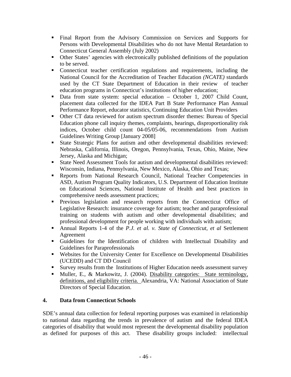- Final Report from the Advisory Commission on Services and Supports for Persons with Developmental Disabilities who do not have Mental Retardation to Connecticut General Assembly (July 2002)
- Other States' agencies with electronically published definitions of the population to be served.
- Connecticut teacher certification regulations and requirements, including the National Council for the Accreditation of Teacher Education *(NCATE)* standards used by the CT State Department of Education in their review of teacher education programs in Connecticut's institutions of higher education;
- Data from state system: special education October 1, 2007 Child Count, placement data collected for the IDEA Part B State Performance Plan Annual Performance Report, educator statistics, Continuing Education Unit Providers
- Other CT data reviewed for autism spectrum disorder themes: Bureau of Special Education phone call inquiry themes, complaints, hearings, disproportionality risk indices, October child count 04-05/05-06, recommendations from Autism Guidelines Writing Group [January 2008]
- State Strategic Plans for autism and other developmental disabilities reviewed: Nebraska, California, Illinois, Oregon, Pennsylvania, Texas, Ohio, Maine, New Jersey, Alaska and Michigan;
- State Need Assessment Tools for autism and developmental disabilities reviewed: Wisconsin, Indiana, Pennsylvania, New Mexico, Alaska, Ohio and Texas;
- Reports from National Research Council, National Teacher Competencies in ASD, Autism Program Quality Indicators, U.S. Department of Education Institute on Educational Sciences, National Institute of Health and best practices in comprehensive needs assessment practices;
- **Previous legislation and research reports from the Connecticut Office of** Legislative Research: insurance coverage for autism; teacher and paraprofessional training on students with autism and other developmental disabilities; and professional development for people working with individuals with autism;
- Annual Reports 1-4 of the *P.J. et al. v. State of Connecticut, et al* Settlement Agreement
- Guidelines for the Identification of children with Intellectual Disability and Guidelines for Paraprofessionals
- Websites for the University Center for Excellence on Developmental Disabilities (UCEDD) and CT DD Council
- Survey results from the Institutions of Higher Education needs assessment survey
- Muller, E., & Markowitz, J. (2004). Disability categories: State terminology, definitions, and eligibility criteria. Alexandria, VA: National Association of State Directors of Special Education.

## **4. Data from Connecticut Schools**

SDE's annual data collection for federal reporting purposes was examined in relationship to national data regarding the trends in prevalence of autism and the federal IDEA categories of disability that would most represent the developmental disability population as defined for purposes of this act. These disability groups included: intellectual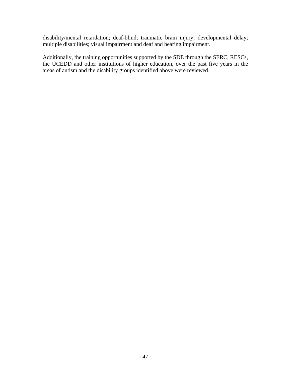disability/mental retardation; deaf-blind; traumatic brain injury; developmental delay; multiple disabilities; visual impairment and deaf and hearing impairment.

Additionally, the training opportunities supported by the SDE through the SERC, RESCs, the UCEDD and other institutions of higher education, over the past five years in the areas of autism and the disability groups identified above were reviewed.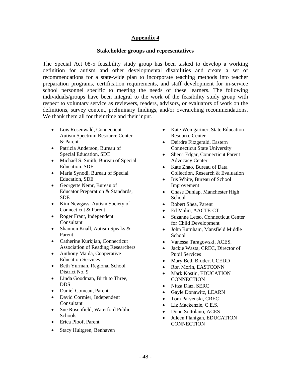#### **Stakeholder groups and representatives**

The Special Act 08-5 feasibility study group has been tasked to develop a working definition for autism and other developmental disabilities and create a set of recommendations for a state-wide plan to incorporate teaching methods into teacher preparation programs, certification requirements, and staff development for in-service school personnel specific to meeting the needs of these learners. The following individuals/groups have been integral to the work of the feasibility study group with respect to voluntary service as reviewers, readers, advisors, or evaluators of work on the definitions, survey content, preliminary findings, and/or overarching recommendations. We thank them all for their time and their input.

- Lois Rosenwald, Connecticut Autism Spectrum Resource Center & Parent
- Patricia Anderson, Bureau of Special Education, SDE
- Michael S. Smith, Bureau of Special Education. SDE
- Maria Synodi, Bureau of Special Education, SDE
- Georgette Nemr, Bureau of Educator Preparation & Standards, SDE
- Kim Newgass, Autism Society of Connecticut & Parent
- Roger Frant, Independent Consultant
- Shannon Knall, Autism Speaks & Parent
- Catherine Kurkjian, Connecticut Association of Reading Researchers
- Anthony Maida, Cooperative Education Services
- Beth Yurman, Regional School District No. 9
- Linda Goodman, Birth to Three, DDS
- Daniel Comeau, Parent
- David Cormier, Independent Consultant
- Sue Rosenfield, Waterford Public Schools
- Erica Ploof, Parent
- Stacy Hultgren, Benhaven
- Kate Weingartner, State Education Resource Center
- Deirdre Fitzgerald, Eastern Connecticut State University
- Sherri Edgar, Connecticut Parent Advocacy Center
- Kate Zhao, Bureau of Data Collection, Research & Evaluation
- Iris White, Bureau of School Improvement
- Chase Dunlap, Manchester High **School**
- Robert Shea, Parent
- Ed Malin, AACTE-CT
- Suzanne Letso, Connecticut Center for Child Development
- John Burnham, Mansfield Middle **School**
- Vanessa Taragowski, ACES,
- Jackie Wasta, CREC, Director of Pupil Services
- Mary Beth Bruder, UCEDD
- Ron Morin, EASTCONN
- Mark Kostin, EDUCATION **CONNECTION**
- Nitza Diaz, SERC
- Gayle Donawitz, LEARN
- Tom Parvenski, CREC
- Liz Mackenzie, C.E.S.
- Donn Sottolano, ACES
- Juleen Flanigan, EDUCATION **CONNECTION**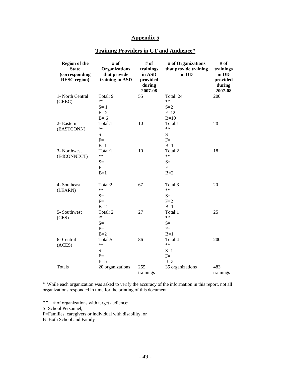| <b>Region of the</b><br><b>State</b><br>(corresponding<br><b>RESC</b> region) | # of<br><b>Organizations</b><br>that provide<br>training in ASD | # of<br>trainings<br>in ASD<br>provided<br>during<br>2007-08 | # of Organizations<br>that provide training<br>in DD | # of<br>trainings<br>in DD<br>provided<br>during<br>2007-08 |
|-------------------------------------------------------------------------------|-----------------------------------------------------------------|--------------------------------------------------------------|------------------------------------------------------|-------------------------------------------------------------|
| 1- North Central<br>(CREC)                                                    | Total: 9<br>$**$<br>$S=1$<br>$F = 2$<br>$B=6$                   | 55                                                           | Total: 24<br>$**$<br>$S=2$<br>$F=12$<br>$B=10$       | 200                                                         |
| 2- Eastern<br>(EASTCONN)                                                      | Total:1<br>$**$<br>$S=$<br>$F=$<br>$B=1$                        | 10                                                           | Total:1<br>$**$<br>$S=$<br>$F=$<br>$B=1$             | 20                                                          |
| 3- Northwest<br>(EdCONNECT)                                                   | Total:1<br>$***$<br>$S=$<br>$F=$<br>$B=1$                       | 10                                                           | Total:2<br>$***$<br>$S=$<br>$F=$<br>$B=2$            | 18                                                          |
| 4- Southeast<br>(LEARN)                                                       | Total:2<br>$**$<br>$S=$<br>$F=$<br>$B=2$                        | 67                                                           | Total:3<br>$**$<br>$S=$<br>$F=2$<br>$B=1$            | 20                                                          |
| 5- Southwest<br>(CES)                                                         | Total: 2<br>$**$<br>$S=$<br>$F=$<br>$B=2$                       | 27                                                           | Total:1<br>$**$<br>$S=$<br>$F =$<br>$B=1$            | 25                                                          |
| 6- Central<br>(ACES)                                                          | Total:5<br>$**$<br>$S=$<br>$F =$<br>$B=5$                       | 86                                                           | Total:4<br>$\ast\ast$<br>$S=1$<br>$F=$<br>$B=3$      | 200                                                         |
| <b>Totals</b>                                                                 | 20 organizations                                                | 255<br>trainings                                             | 35 organizations                                     | 483<br>trainings                                            |

## **Training Providers in CT and Audience\***

\* While each organization was asked to verify the accuracy of the information in this report, not all organizations responded in time for the printing of this document.

\*\*- # of organizations with target audience:

S=School Personnel,

F=Families, caregivers or individual with disability, or

B=Both School and Family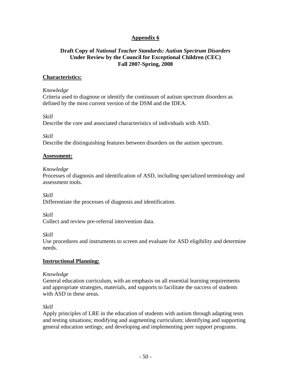#### **Draft Copy of** *National Teacher Standards: Autism Spectrum Disorders*  **Under Review by the Council for Exceptional Children (CEC) Fall 2007-Spring, 2008**

#### **Characteristics:**

#### *Knowledge*

Criteria used to diagnose or identify the continuum of autism spectrum disorders as defined by the most current version of the DSM and the IDEA.

#### *Skill*

Describe the core and associated characteristics of individuals with ASD.

*Skill* 

Describe the distinguishing features between disorders on the autism spectrum.

#### **Assessment:**

#### *Knowledge*

Processes of diagnosis and identification of ASD, including specialized terminology and assessment tools.

*Skill* 

Differentiate the processes of diagnosis and identification.

*Skill* 

Collect and review pre-referral intervention data.

*Skill* 

Use procedures and instruments to screen and evaluate for ASD eligibility and determine needs.

#### **Instructional Planning:**

#### *Knowledge*

General education curriculum, with an emphasis on all essential learning requirements and appropriate strategies, materials, and supports to facilitate the success of students with ASD in these areas.

#### *Skill*

Apply principles of LRE in the education of students with autism through adapting tests and testing situations; modifying and augmenting curriculum; identifying and supporting general education settings; and developing and implementing peer support programs.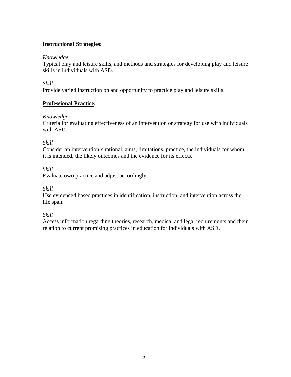## **Instructional Strategies:**

#### *Knowledge*

Typical play and leisure skills, and methods and strategies for developing play and leisure skills in individuals with ASD.

### *Skill*

Provide varied instruction on and opportunity to practice play and leisure skills.

## **Professional Practice:**

## *Knowledge*

Criteria for evaluating effectiveness of an intervention or strategy for use with individuals with ASD.

## *Skill*

Consider an intervention's rational, aims, limitations, practice, the individuals for whom it is intended, the likely outcomes and the evidence for its effects.

*Skill* 

Evaluate own practice and adjust accordingly.

*Skill* 

Use evidenced based practices in identification, instruction, and intervention across the life span.

#### *Skill*

Access information regarding theories, research, medical and legal requirements and their relation to current promising practices in education for individuals with ASD.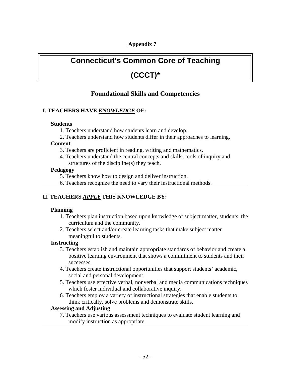# **Connecticut's Common Core of Teaching**

# **(CCCT)\***

# **Foundational Skills and Competencies**

#### **I. TEACHERS HAVE** *KNOWLEDGE* **OF:**

#### **Students**

- 1. Teachers understand how students learn and develop.
- 2. Teachers understand how students differ in their approaches to learning.

#### **Content**

- 3. Teachers are proficient in reading, writing and mathematics.
- 4. Teachers understand the central concepts and skills, tools of inquiry and structures of the discipline(s) they teach.

#### **Pedagogy**

- 5. Teachers know how to design and deliver instruction.
- 6. Teachers recognize the need to vary their instructional methods.

## **II. TEACHERS** *APPLY* **THIS KNOWLEDGE BY:**

#### **Planning**

- 1. Teachers plan instruction based upon knowledge of subject matter, students, the curriculum and the community.
- 2. Teachers select and/or create learning tasks that make subject matter meaningful to students.

#### **Instructing**

- 3. Teachers establish and maintain appropriate standards of behavior and create a positive learning environment that shows a commitment to students and their successes.
- 4. Teachers create instructional opportunities that support students' academic, social and personal development.
- 5. Teachers use effective verbal, nonverbal and media communications techniques which foster individual and collaborative inquiry.
- 6. Teachers employ a variety of instructional strategies that enable students to think critically, solve problems and demonstrate skills.

#### **Assessing and Adjusting**

7. Teachers use various assessment techniques to evaluate student learning and modify instruction as appropriate.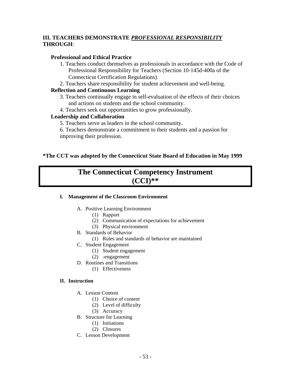## **III. TEACHERS DEMONSTRATE** *PROFESSIONAL RESPONSIBILITY* **THROUGH**:

### **Professional and Ethical Practice**

- 1. Teachers conduct themselves as professionals in accordance with the Code of Professional Responsibility for Teachers (Section 10-145d-400a of the Connecticut Certification Regulations).
- 2. Teachers share responsibility for student achievement and well-being.

#### **Reflection and Continuous Learning**

- 3. Teachers continually engage in self-evaluation of the effects of their choices and actions on students and the school community.
- 4. Teachers seek out opportunities to grow professionally.

#### **Leadership and Collaboration**

- 5. Teachers serve as leaders in the school community.
- 6. Teachers demonstrate a commitment to their students and a passion for improving their profession.

#### **\*The CCT was adopted by the Connecticut State Board of Education in May 1999**

# **The Connecticut Competency Instrument (CCI)\*\***

#### **I. Management of the Classroom Environment**

- A. Positive Learning Environment
	- (1) Rapport
	- (2) Communication of expectations for achievement
	- (3) Physical environment
- B. Standards of Behavior
	- (1) Rules and standards of behavior are maintained
- C. Student Engagement
	- (1) Student engagement
	- (2) -engagement
- D. Routines and Transitions
	- (1) Effectiveness

#### **II. Instruction**

- A. Lesson Content
	- (1) Choice of content
	- (2) Level of difficulty
	- (3) Accuracy
- B. Structure for Learning
	- (1) Initiations
	- (2) Closures
- C. Lesson Development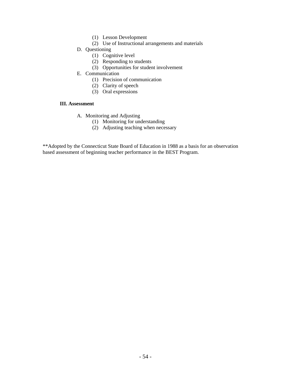- (1) Lesson Development
- (2) Use of Instructional arrangements and materials
- D. Questioning
	- (1) Cognitive level
	- (2) Responding to students
	- (3) Opportunities for student involvement
- E. Communication
	- (1) Precision of communication
	- (2) Clarity of speech
	- (3) Oral expressions

#### **III. Assessment**

- A. Monitoring and Adjusting
	- (1) Monitoring for understanding
	- (2) Adjusting teaching when necessary

\*\*Adopted by the Connecticut State Board of Education in 1988 as a basis for an observation based assessment of beginning teacher performance in the BEST Program.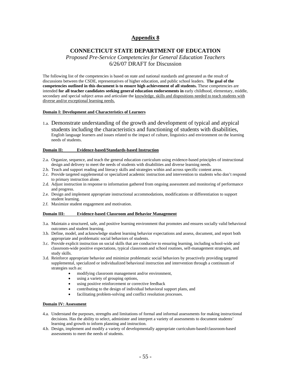#### **CONNECTICUT STATE DEPARTMENT OF EDUCATION**

#### *Proposed Pre-Service Competencies for General Education Teachers*  6/26/07 DRAFT for Discussion

The following list of the competencies is based on state and national standards and generated as the result of discussions between the CSDE, representatives of higher education, and public school leaders. **The goal of the competencies outlined in this document is to ensure high achievement of all students.** These competencies are intended **for all teacher candidates seeking general education endorsements in** early childhood, elementary, middle, secondary and special subject areas and articulate the knowledge, skills and dispositions needed to teach students with diverse and/or exceptional learning needs.

#### **Domain I: Development and Characteristics of Learners**

1.a. Demonstrate understanding of the growth and development of typical and atypical students including the characteristics and functioning of students with disabilities, English language learners and issues related to the impact of culture, linguistics and environment on the learning needs of students.

#### **Domain II: Evidence-based/Standards-based Instruction**

- 2.a. Organize, sequence, and teach the general education curriculum using evidence-based principles of instructional design and delivery to meet the needs of students with disabilities and diverse learning needs.
- 2.b. Teach and support reading and literacy skills and strategies within and across specific content areas.
- 2.c. Provide targeted supplemental or specialized academic instruction and intervention to students who don't respond to primary instruction alone.
- 2.d. Adjust instruction in response to information gathered from ongoing assessment and monitoring of performance and progress.
- 2.e. Design and implement appropriate instructional accommodations, modifications or differentiation to support student learning.
- 2.f. Maximize student engagement and motivation.

#### **Domain III: Evidence-based Classroom and Behavior Management**

- 3.a. Maintain a structured, safe, and positive learning environment that promotes and ensures socially valid behavioral outcomes and student learning.
- 3.b. Define, model, and acknowledge student learning behavior expectations and assess, document, and report both appropriate and problematic social behaviors of students.
- 3.c. Provide explicit instruction on social skills that are conducive to ensuring learning, including school-wide and classroom-wide positive expectations, typical classroom and school routines, self-management strategies, and study skills.
- 3.d. Reinforce appropriate behavior and minimize problematic social behaviors by proactively providing targeted supplemental, specialized or individualized behavioral instruction and intervention through a continuum of strategies such as:
	- modifying classroom management and/or environment,
	- using a variety of grouping options,
	- using positive reinforcement or corrective feedback
	- contributing to the design of individual behavioral support plans, and
	- facilitating problem-solving and conflict resolution processes.

#### **Domain IV: Assessment**

- 4.a. Understand the purposes, strengths and limitations of formal and informal assessments for making instructional decisions. Has the ability to select, administer and interpret a variety of assessments to document students' learning and growth to inform planning and instruction.
- 4.b. Design, implement and modify a variety of developmentally appropriate curriculum-based/classroom-based assessments to meet the needs of students.